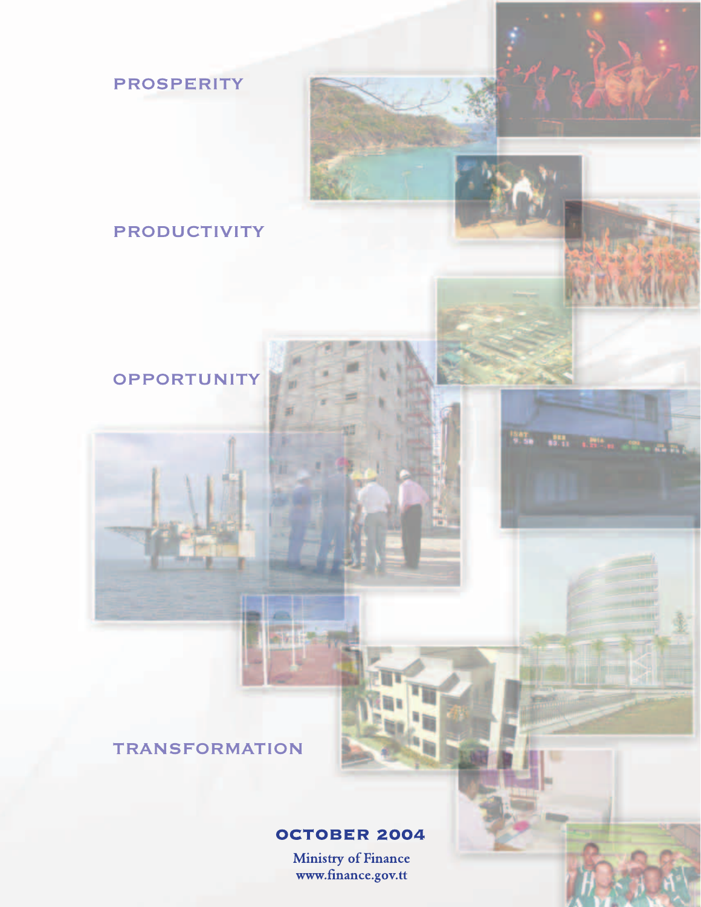# **PRODUCTIVITY**

**PROSPERITY** 

# OPPORTUNITY

**TRANSFORMATION** 

z in

ni izt

# **OCTOBER 2004**

Ministry of Finance<br>www.finance.gov.tt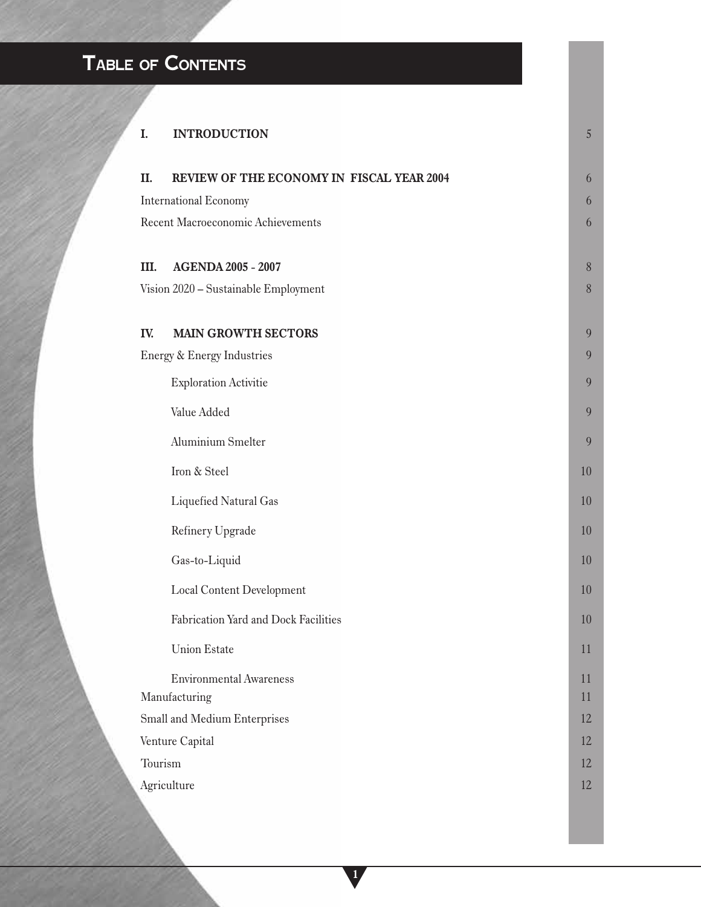# **TABLE OF CONTENTS**

| I.                                | <b>INTRODUCTION</b>                       | $\sqrt{5}$     |
|-----------------------------------|-------------------------------------------|----------------|
| II.                               | REVIEW OF THE ECONOMY IN FISCAL YEAR 2004 | 6              |
|                                   | <b>International Economy</b>              |                |
| Recent Macroeconomic Achievements |                                           | 6              |
|                                   |                                           |                |
| Ш.                                | <b>AGENDA 2005 - 2007</b>                 | $8\phantom{.}$ |
|                                   | Vision 2020 - Sustainable Employment      | $\, 8$         |
|                                   |                                           |                |
| IV.                               | <b>MAIN GROWTH SECTORS</b>                | 9              |
|                                   | Energy & Energy Industries                | 9              |
|                                   | <b>Exploration Activitie</b>              | 9              |
|                                   | Value Added                               | 9              |
|                                   | <b>Aluminium Smelter</b>                  | 9              |
|                                   | Iron & Steel                              | 10             |
|                                   | Liquefied Natural Gas                     | 10             |
|                                   | Refinery Upgrade                          | 10             |
|                                   | Gas-to-Liquid                             | 10             |
|                                   | <b>Local Content Development</b>          | 10             |
|                                   | Fabrication Yard and Dock Facilities      | 10             |
|                                   | <b>Union Estate</b>                       | 11             |
|                                   | <b>Environmental Awareness</b>            | 11             |
|                                   | Manufacturing                             | 11             |
|                                   | Small and Medium Enterprises              | 12             |
|                                   | Venture Capital                           | 12             |
| Tourism                           |                                           | 12             |
|                                   | Agriculture                               | 12             |
|                                   |                                           |                |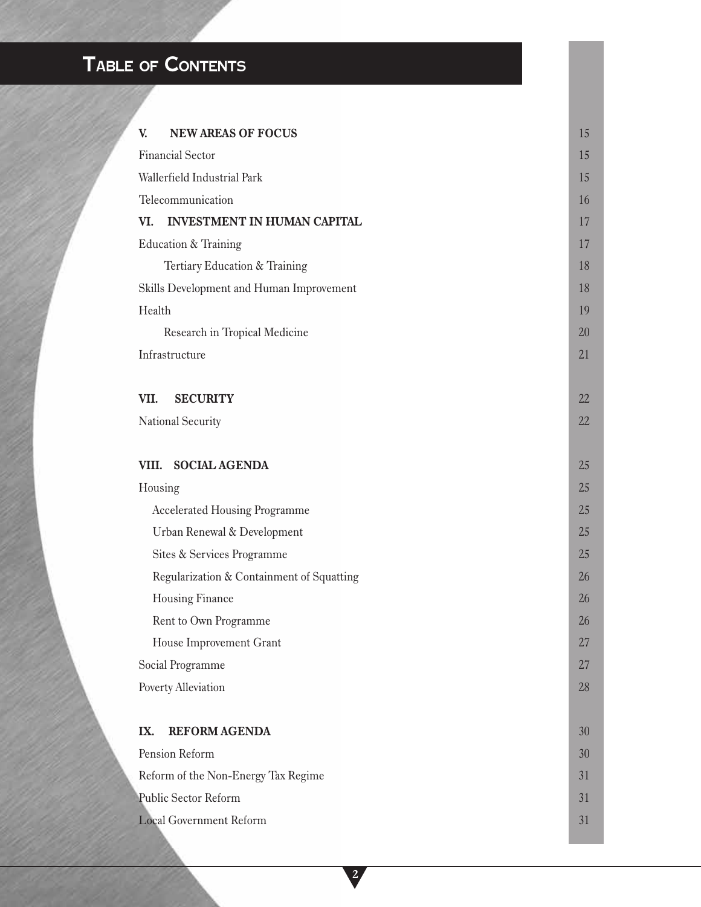# **TABLE OF CONTENTS**

| <b>NEW AREAS OF FOCUS</b><br>V.           | 15 |  |  |  |
|-------------------------------------------|----|--|--|--|
| <b>Financial Sector</b>                   | 15 |  |  |  |
| Wallerfield Industrial Park               |    |  |  |  |
| Telecommunication                         | 16 |  |  |  |
| <b>INVESTMENT IN HUMAN CAPITAL</b><br>VI. | 17 |  |  |  |
| Education & Training                      | 17 |  |  |  |
| Tertiary Education & Training             | 18 |  |  |  |
| Skills Development and Human Improvement  | 18 |  |  |  |
| Health                                    |    |  |  |  |
| Research in Tropical Medicine             | 20 |  |  |  |
| Infrastructure                            | 21 |  |  |  |
|                                           |    |  |  |  |
| VII.<br><b>SECURITY</b>                   | 22 |  |  |  |
| National Security                         | 22 |  |  |  |
|                                           |    |  |  |  |
| VIII.<br><b>SOCIAL AGENDA</b>             | 25 |  |  |  |
| Housing                                   | 25 |  |  |  |
| <b>Accelerated Housing Programme</b>      | 25 |  |  |  |
| Urban Renewal & Development               | 25 |  |  |  |
| Sites & Services Programme                | 25 |  |  |  |
| Regularization & Containment of Squatting | 26 |  |  |  |
| Housing Finance                           | 26 |  |  |  |
| Rent to Own Programme                     | 26 |  |  |  |
| House Improvement Grant                   | 27 |  |  |  |
| Social Programme                          | 27 |  |  |  |
| Poverty Alleviation                       | 28 |  |  |  |
|                                           |    |  |  |  |
| <b>REFORM AGENDA</b><br>IX.               | 30 |  |  |  |
| Pension Reform                            | 30 |  |  |  |
| Reform of the Non-Energy Tax Regime       |    |  |  |  |
| Public Sector Reform                      |    |  |  |  |
| <b>Local Government Reform</b>            |    |  |  |  |

**2**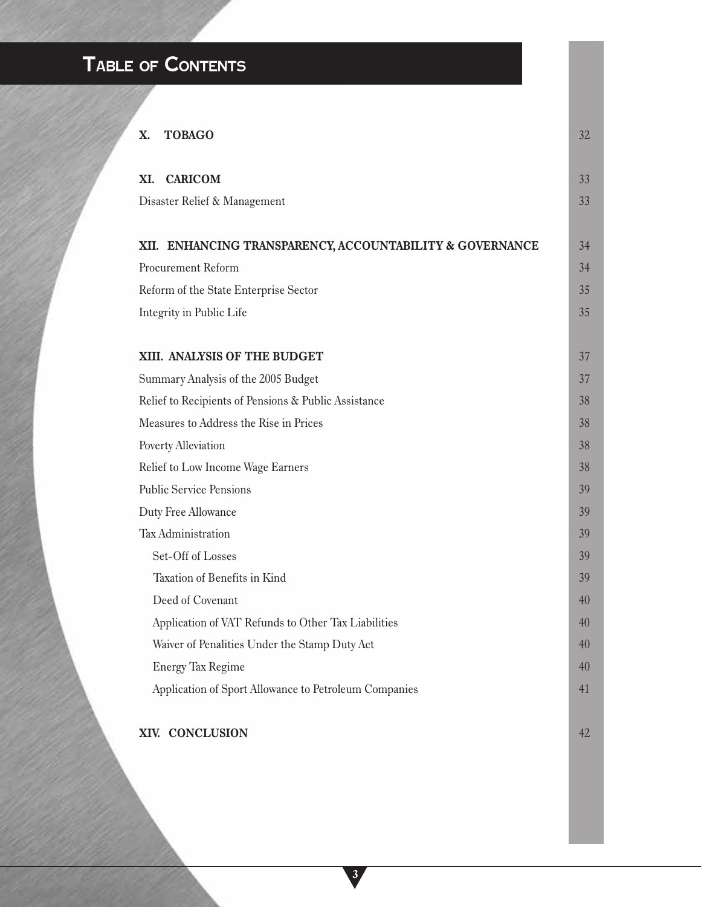# **TABLE OF CONTENTS**

| X. | <b>TOBAGO</b>                                            | 32 |
|----|----------------------------------------------------------|----|
|    | XI. CARICOM                                              | 33 |
|    | Disaster Relief & Management                             | 33 |
|    | XII. ENHANCING TRANSPARENCY, ACCOUNTABILITY & GOVERNANCE | 34 |
|    | Procurement Reform                                       | 34 |
|    | Reform of the State Enterprise Sector                    | 35 |
|    | Integrity in Public Life                                 | 35 |
|    |                                                          |    |
|    | XIII. ANALYSIS OF THE BUDGET                             | 37 |
|    | Summary Analysis of the 2005 Budget                      | 37 |
|    | Relief to Recipients of Pensions & Public Assistance     | 38 |
|    | Measures to Address the Rise in Prices                   | 38 |
|    | Poverty Alleviation                                      | 38 |
|    | Relief to Low Income Wage Earners                        | 38 |
|    | <b>Public Service Pensions</b>                           | 39 |
|    | Duty Free Allowance                                      | 39 |
|    | Tax Administration                                       | 39 |
|    | Set-Off of Losses                                        | 39 |
|    | Taxation of Benefits in Kind                             | 39 |
|    | Deed of Covenant                                         | 40 |
|    | Application of VAT Refunds to Other Tax Liabilities      | 40 |
|    | Waiver of Penalities Under the Stamp Duty Act            | 40 |
|    | <b>Energy Tax Regime</b>                                 | 40 |
|    | Application of Sport Allowance to Petroleum Companies    | 41 |
|    | XIV. CONCLUSION                                          | 42 |

**3**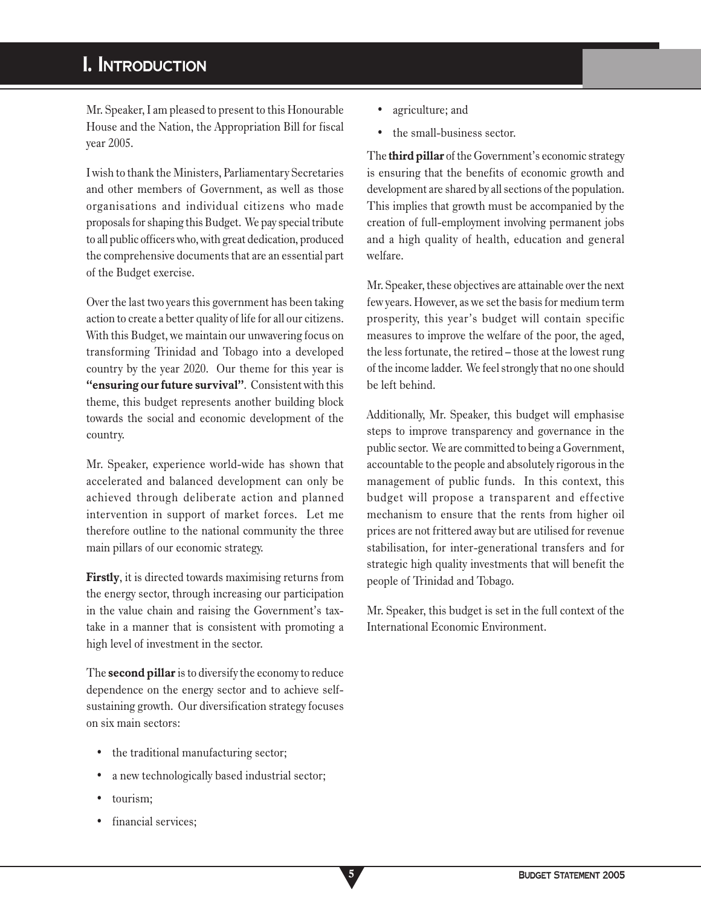# **I. INTRODUCTION**

Mr. Speaker, I am pleased to present to this Honourable House and the Nation, the Appropriation Bill for fiscal year 2005.

I wish to thank the Ministers, Parliamentary Secretaries and other members of Government, as well as those organisations and individual citizens who made proposals for shaping this Budget. We pay special tribute to all public officers who, with great dedication, produced the comprehensive documents that are an essential part of the Budget exercise.

Over the last two years this government has been taking action to create a better quality of life for all our citizens. With this Budget, we maintain our unwavering focus on transforming Trinidad and Tobago into a developed country by the year 2020. Our theme for this year is **"ensuring our future survival"**. Consistent with this theme, this budget represents another building block towards the social and economic development of the country.

Mr. Speaker, experience world-wide has shown that accelerated and balanced development can only be achieved through deliberate action and planned intervention in support of market forces. Let me therefore outline to the national community the three main pillars of our economic strategy.

**Firstly**, it is directed towards maximising returns from the energy sector, through increasing our participation in the value chain and raising the Government's taxtake in a manner that is consistent with promoting a high level of investment in the sector.

The **second pillar** is to diversify the economy to reduce dependence on the energy sector and to achieve selfsustaining growth. Our diversification strategy focuses on six main sectors:

- the traditional manufacturing sector;
- a new technologically based industrial sector;

**5**

- tourism;
- financial services;
- agriculture; and
- the small-business sector.

The **third pillar** of the Government's economic strategy is ensuring that the benefits of economic growth and development are shared by all sections of the population. This implies that growth must be accompanied by the creation of full-employment involving permanent jobs and a high quality of health, education and general welfare.

Mr. Speaker, these objectives are attainable over the next few years. However, as we set the basis for medium term prosperity, this year's budget will contain specific measures to improve the welfare of the poor, the aged, the less fortunate, the retired – those at the lowest rung of the income ladder. We feel strongly that no one should be left behind.

Additionally, Mr. Speaker, this budget will emphasise steps to improve transparency and governance in the public sector. We are committed to being a Government, accountable to the people and absolutely rigorous in the management of public funds. In this context, this budget will propose a transparent and effective mechanism to ensure that the rents from higher oil prices are not frittered away but are utilised for revenue stabilisation, for inter-generational transfers and for strategic high quality investments that will benefit the people of Trinidad and Tobago.

Mr. Speaker, this budget is set in the full context of the International Economic Environment.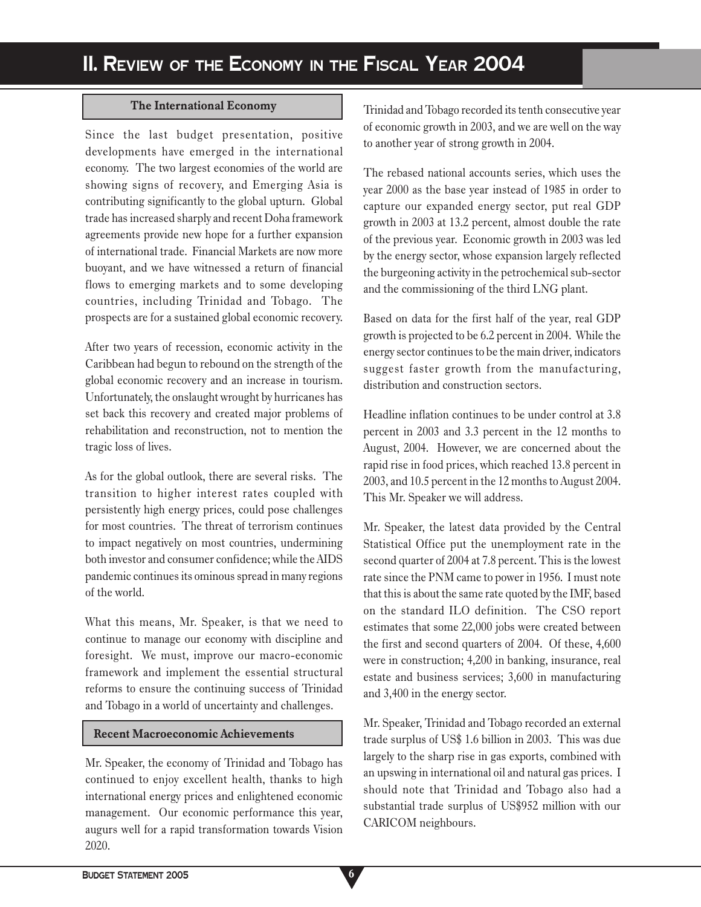### **The International Economy**

Since the last budget presentation, positive developments have emerged in the international economy. The two largest economies of the world are showing signs of recovery, and Emerging Asia is contributing significantly to the global upturn. Global trade has increased sharply and recent Doha framework agreements provide new hope for a further expansion of international trade. Financial Markets are now more buoyant, and we have witnessed a return of financial flows to emerging markets and to some developing countries, including Trinidad and Tobago. The prospects are for a sustained global economic recovery.

After two years of recession, economic activity in the Caribbean had begun to rebound on the strength of the global economic recovery and an increase in tourism. Unfortunately, the onslaught wrought by hurricanes has set back this recovery and created major problems of rehabilitation and reconstruction, not to mention the tragic loss of lives.

As for the global outlook, there are several risks. The transition to higher interest rates coupled with persistently high energy prices, could pose challenges for most countries. The threat of terrorism continues to impact negatively on most countries, undermining both investor and consumer confidence; while the AIDS pandemic continues its ominous spread in many regions of the world.

What this means, Mr. Speaker, is that we need to continue to manage our economy with discipline and foresight. We must, improve our macro-economic framework and implement the essential structural reforms to ensure the continuing success of Trinidad and Tobago in a world of uncertainty and challenges.

#### **Recent Macroeconomic Achievements**

Mr. Speaker, the economy of Trinidad and Tobago has continued to enjoy excellent health, thanks to high international energy prices and enlightened economic management. Our economic performance this year, augurs well for a rapid transformation towards Vision 2020.

Trinidad and Tobago recorded its tenth consecutive year of economic growth in 2003, and we are well on the way to another year of strong growth in 2004.

The rebased national accounts series, which uses the year 2000 as the base year instead of 1985 in order to capture our expanded energy sector, put real GDP growth in 2003 at 13.2 percent, almost double the rate of the previous year. Economic growth in 2003 was led by the energy sector, whose expansion largely reflected the burgeoning activity in the petrochemical sub-sector and the commissioning of the third LNG plant.

Based on data for the first half of the year, real GDP growth is projected to be 6.2 percent in 2004. While the energy sector continues to be the main driver, indicators suggest faster growth from the manufacturing, distribution and construction sectors.

Headline inflation continues to be under control at 3.8 percent in 2003 and 3.3 percent in the 12 months to August, 2004. However, we are concerned about the rapid rise in food prices, which reached 13.8 percent in 2003, and 10.5 percent in the 12 months to August 2004. This Mr. Speaker we will address.

Mr. Speaker, the latest data provided by the Central Statistical Office put the unemployment rate in the second quarter of 2004 at 7.8 percent. This is the lowest rate since the PNM came to power in 1956. I must note that this is about the same rate quoted by the IMF, based on the standard ILO definition. The CSO report estimates that some 22,000 jobs were created between the first and second quarters of 2004. Of these, 4,600 were in construction; 4,200 in banking, insurance, real estate and business services; 3,600 in manufacturing and 3,400 in the energy sector.

Mr. Speaker, Trinidad and Tobago recorded an external trade surplus of US\$ 1.6 billion in 2003. This was due largely to the sharp rise in gas exports, combined with an upswing in international oil and natural gas prices. I should note that Trinidad and Tobago also had a substantial trade surplus of US\$952 million with our CARICOM neighbours.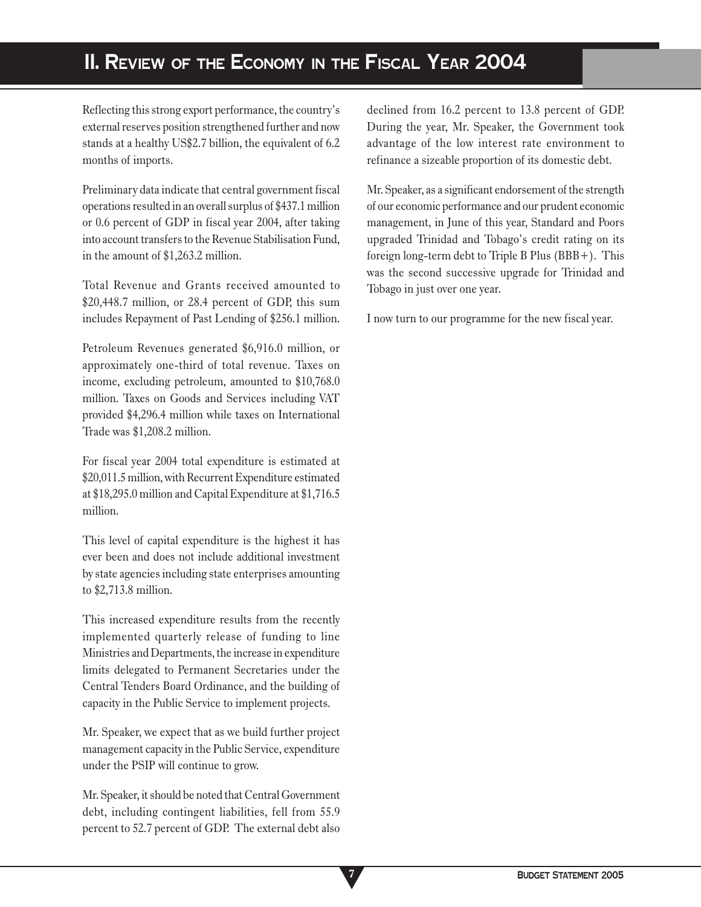# **II. REVIEW OF THE ECONOMY IN THE FISCAL YEAR 2004**

Reflecting this strong export performance, the country's external reserves position strengthened further and now stands at a healthy US\$2.7 billion, the equivalent of 6.2 months of imports.

Preliminary data indicate that central government fiscal operations resulted in an overall surplus of \$437.1 million or 0.6 percent of GDP in fiscal year 2004, after taking into account transfers to the Revenue Stabilisation Fund, in the amount of \$1,263.2 million.

Total Revenue and Grants received amounted to \$20,448.7 million, or 28.4 percent of GDP, this sum includes Repayment of Past Lending of \$256.1 million.

Petroleum Revenues generated \$6,916.0 million, or approximately one-third of total revenue. Taxes on income, excluding petroleum, amounted to \$10,768.0 million. Taxes on Goods and Services including VAT provided \$4,296.4 million while taxes on International Trade was \$1,208.2 million.

For fiscal year 2004 total expenditure is estimated at \$20,011.5 million, with Recurrent Expenditure estimated at \$18,295.0 million and Capital Expenditure at \$1,716.5 million.

This level of capital expenditure is the highest it has ever been and does not include additional investment by state agencies including state enterprises amounting to \$2,713.8 million.

This increased expenditure results from the recently implemented quarterly release of funding to line Ministries and Departments, the increase in expenditure limits delegated to Permanent Secretaries under the Central Tenders Board Ordinance, and the building of capacity in the Public Service to implement projects.

Mr. Speaker, we expect that as we build further project management capacity in the Public Service, expenditure under the PSIP will continue to grow.

Mr. Speaker, it should be noted that Central Government debt, including contingent liabilities, fell from 55.9 percent to 52.7 percent of GDP. The external debt also

**7**

declined from 16.2 percent to 13.8 percent of GDP. During the year, Mr. Speaker, the Government took advantage of the low interest rate environment to refinance a sizeable proportion of its domestic debt.

Mr. Speaker, as a significant endorsement of the strength of our economic performance and our prudent economic management, in June of this year, Standard and Poors upgraded Trinidad and Tobago's credit rating on its foreign long-term debt to Triple B Plus (BBB+). This was the second successive upgrade for Trinidad and Tobago in just over one year.

I now turn to our programme for the new fiscal year.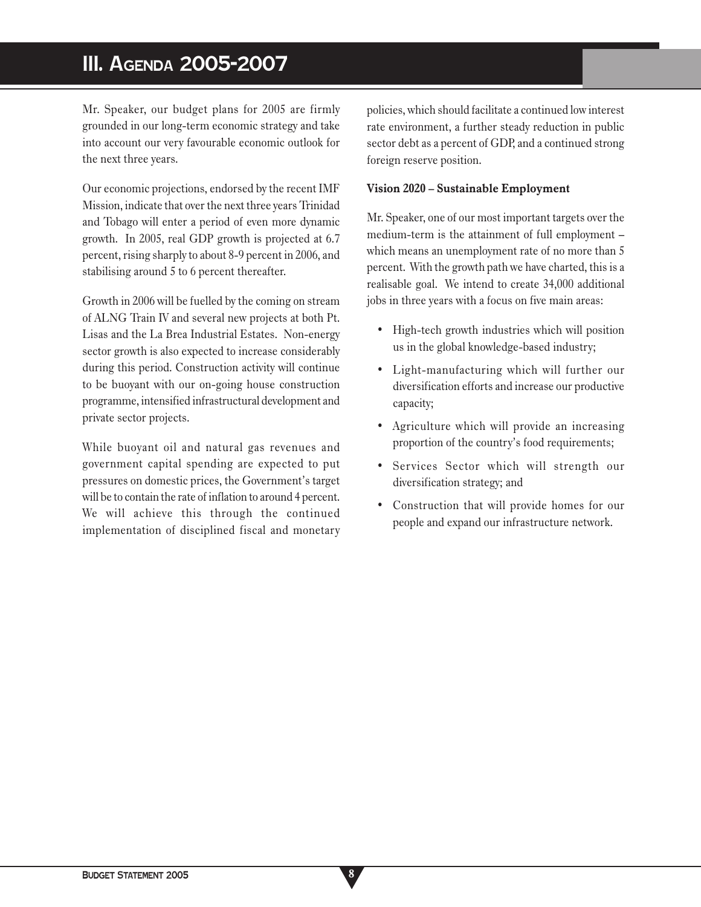# **III. AGENDA 2005-2007**

Mr. Speaker, our budget plans for 2005 are firmly grounded in our long-term economic strategy and take into account our very favourable economic outlook for the next three years.

Our economic projections, endorsed by the recent IMF Mission, indicate that over the next three years Trinidad and Tobago will enter a period of even more dynamic growth. In 2005, real GDP growth is projected at 6.7 percent, rising sharply to about 8-9 percent in 2006, and stabilising around 5 to 6 percent thereafter.

Growth in 2006 will be fuelled by the coming on stream of ALNG Train IV and several new projects at both Pt. Lisas and the La Brea Industrial Estates. Non-energy sector growth is also expected to increase considerably during this period. Construction activity will continue to be buoyant with our on-going house construction programme, intensified infrastructural development and private sector projects.

While buoyant oil and natural gas revenues and government capital spending are expected to put pressures on domestic prices, the Government's target will be to contain the rate of inflation to around 4 percent. We will achieve this through the continued implementation of disciplined fiscal and monetary policies, which should facilitate a continued low interest rate environment, a further steady reduction in public sector debt as a percent of GDP, and a continued strong foreign reserve position.

#### **Vision 2020 – Sustainable Employment**

Mr. Speaker, one of our most important targets over the medium-term is the attainment of full employment – which means an unemployment rate of no more than 5 percent. With the growth path we have charted, this is a realisable goal. We intend to create 34,000 additional jobs in three years with a focus on five main areas:

- High-tech growth industries which will position us in the global knowledge-based industry;
- Light-manufacturing which will further our diversification efforts and increase our productive capacity;
- Agriculture which will provide an increasing proportion of the country's food requirements;
- Services Sector which will strength our diversification strategy; and
- Construction that will provide homes for our people and expand our infrastructure network.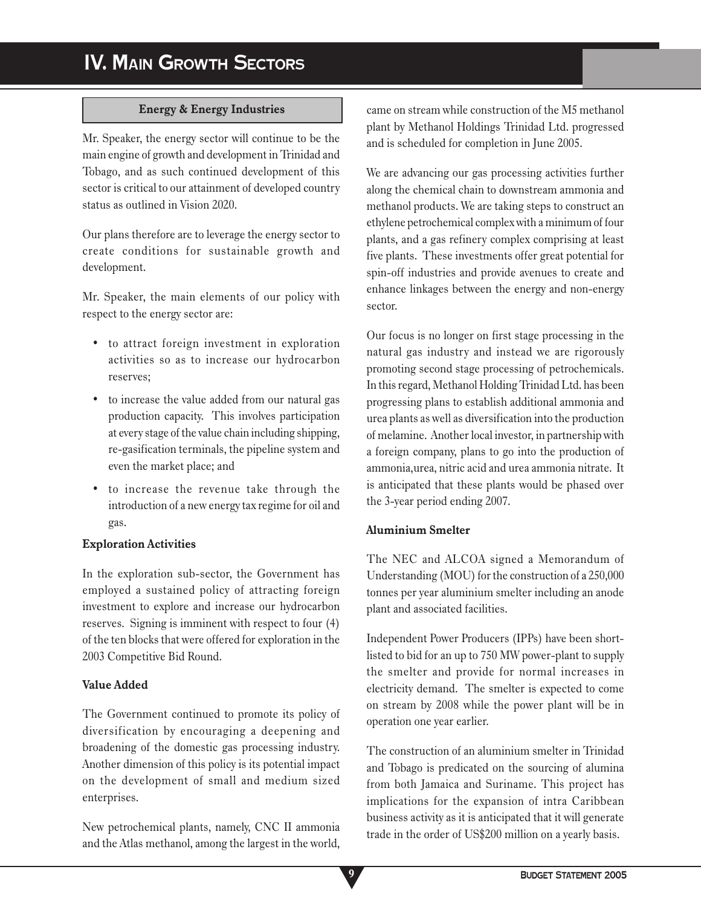## **Energy & Energy Industries**

Mr. Speaker, the energy sector will continue to be the main engine of growth and development in Trinidad and Tobago, and as such continued development of this sector is critical to our attainment of developed country status as outlined in Vision 2020.

Our plans therefore are to leverage the energy sector to create conditions for sustainable growth and development.

Mr. Speaker, the main elements of our policy with respect to the energy sector are:

- to attract foreign investment in exploration activities so as to increase our hydrocarbon reserves;
- to increase the value added from our natural gas production capacity. This involves participation at every stage of the value chain including shipping, re-gasification terminals, the pipeline system and even the market place; and
- to increase the revenue take through the introduction of a new energy tax regime for oil and gas.

### **Exploration Activities**

In the exploration sub-sector, the Government has employed a sustained policy of attracting foreign investment to explore and increase our hydrocarbon reserves. Signing is imminent with respect to four (4) of the ten blocks that were offered for exploration in the 2003 Competitive Bid Round.

### **Value Added**

The Government continued to promote its policy of diversification by encouraging a deepening and broadening of the domestic gas processing industry. Another dimension of this policy is its potential impact on the development of small and medium sized enterprises.

New petrochemical plants, namely, CNC II ammonia and the Atlas methanol, among the largest in the world,

came on stream while construction of the M5 methanol plant by Methanol Holdings Trinidad Ltd. progressed and is scheduled for completion in June 2005.

We are advancing our gas processing activities further along the chemical chain to downstream ammonia and methanol products. We are taking steps to construct an ethylene petrochemical complex with a minimum of four plants, and a gas refinery complex comprising at least five plants. These investments offer great potential for spin-off industries and provide avenues to create and enhance linkages between the energy and non-energy sector.

Our focus is no longer on first stage processing in the natural gas industry and instead we are rigorously promoting second stage processing of petrochemicals. In this regard, Methanol Holding Trinidad Ltd. has been progressing plans to establish additional ammonia and urea plants as well as diversification into the production of melamine. Another local investor, in partnership with a foreign company, plans to go into the production of ammonia,urea, nitric acid and urea ammonia nitrate. It is anticipated that these plants would be phased over the 3-year period ending 2007.

# **Aluminium Smelter**

The NEC and ALCOA signed a Memorandum of Understanding (MOU) for the construction of a 250,000 tonnes per year aluminium smelter including an anode plant and associated facilities.

Independent Power Producers (IPPs) have been shortlisted to bid for an up to 750 MW power-plant to supply the smelter and provide for normal increases in electricity demand. The smelter is expected to come on stream by 2008 while the power plant will be in operation one year earlier.

The construction of an aluminium smelter in Trinidad and Tobago is predicated on the sourcing of alumina from both Jamaica and Suriname. This project has implications for the expansion of intra Caribbean business activity as it is anticipated that it will generate trade in the order of US\$200 million on a yearly basis.

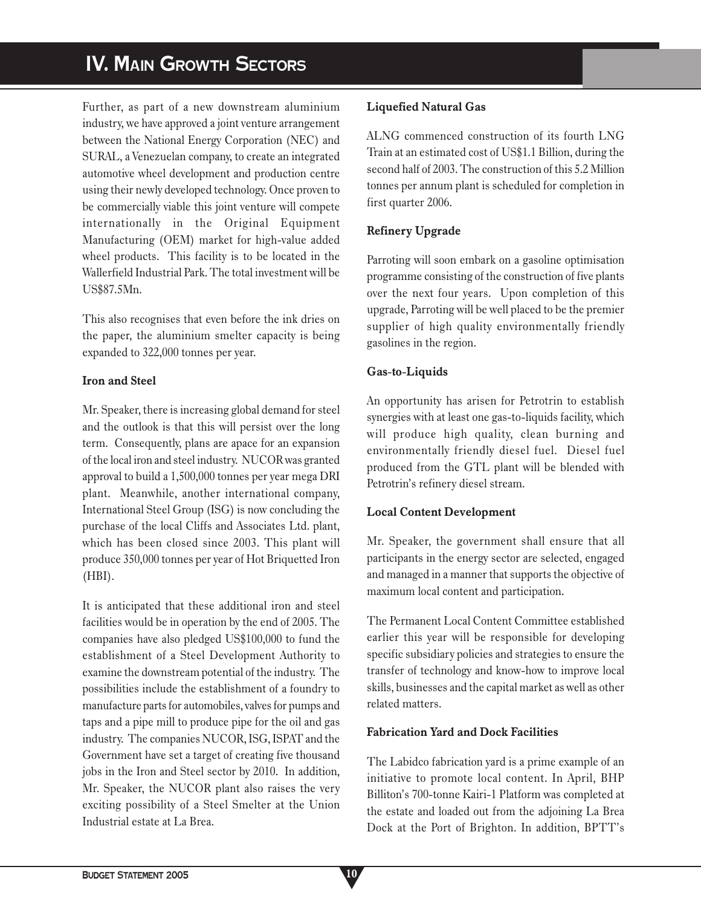# **IV. MAIN GROWTH SECTORS**

Further, as part of a new downstream aluminium industry, we have approved a joint venture arrangement between the National Energy Corporation (NEC) and SURAL, a Venezuelan company, to create an integrated automotive wheel development and production centre using their newly developed technology. Once proven to be commercially viable this joint venture will compete internationally in the Original Equipment Manufacturing (OEM) market for high-value added wheel products. This facility is to be located in the Wallerfield Industrial Park. The total investment will be US\$87.5Mn.

This also recognises that even before the ink dries on the paper, the aluminium smelter capacity is being expanded to 322,000 tonnes per year.

## **Iron and Steel**

Mr. Speaker, there is increasing global demand for steel and the outlook is that this will persist over the long term. Consequently, plans are apace for an expansion of the local iron and steel industry. NUCOR was granted approval to build a 1,500,000 tonnes per year mega DRI plant. Meanwhile, another international company, International Steel Group (ISG) is now concluding the purchase of the local Cliffs and Associates Ltd. plant, which has been closed since 2003. This plant will produce 350,000 tonnes per year of Hot Briquetted Iron (HBI).

It is anticipated that these additional iron and steel facilities would be in operation by the end of 2005. The companies have also pledged US\$100,000 to fund the establishment of a Steel Development Authority to examine the downstream potential of the industry. The possibilities include the establishment of a foundry to manufacture parts for automobiles, valves for pumps and taps and a pipe mill to produce pipe for the oil and gas industry. The companies NUCOR, ISG, ISPAT and the Government have set a target of creating five thousand jobs in the Iron and Steel sector by 2010. In addition, Mr. Speaker, the NUCOR plant also raises the very exciting possibility of a Steel Smelter at the Union Industrial estate at La Brea.

# **Liquefied Natural Gas**

ALNG commenced construction of its fourth LNG Train at an estimated cost of US\$1.1 Billion, during the second half of 2003. The construction of this 5.2 Million tonnes per annum plant is scheduled for completion in first quarter 2006.

# **Refinery Upgrade**

Parroting will soon embark on a gasoline optimisation programme consisting of the construction of five plants over the next four years. Upon completion of this upgrade, Parroting will be well placed to be the premier supplier of high quality environmentally friendly gasolines in the region.

# **Gas-to-Liquids**

An opportunity has arisen for Petrotrin to establish synergies with at least one gas-to-liquids facility, which will produce high quality, clean burning and environmentally friendly diesel fuel. Diesel fuel produced from the GTL plant will be blended with Petrotrin's refinery diesel stream.

# **Local Content Development**

Mr. Speaker, the government shall ensure that all participants in the energy sector are selected, engaged and managed in a manner that supports the objective of maximum local content and participation.

The Permanent Local Content Committee established earlier this year will be responsible for developing specific subsidiary policies and strategies to ensure the transfer of technology and know-how to improve local skills, businesses and the capital market as well as other related matters.

# **Fabrication Yard and Dock Facilities**

The Labidco fabrication yard is a prime example of an initiative to promote local content. In April, BHP Billiton's 700-tonne Kairi-1 Platform was completed at the estate and loaded out from the adjoining La Brea Dock at the Port of Brighton. In addition, BPTT's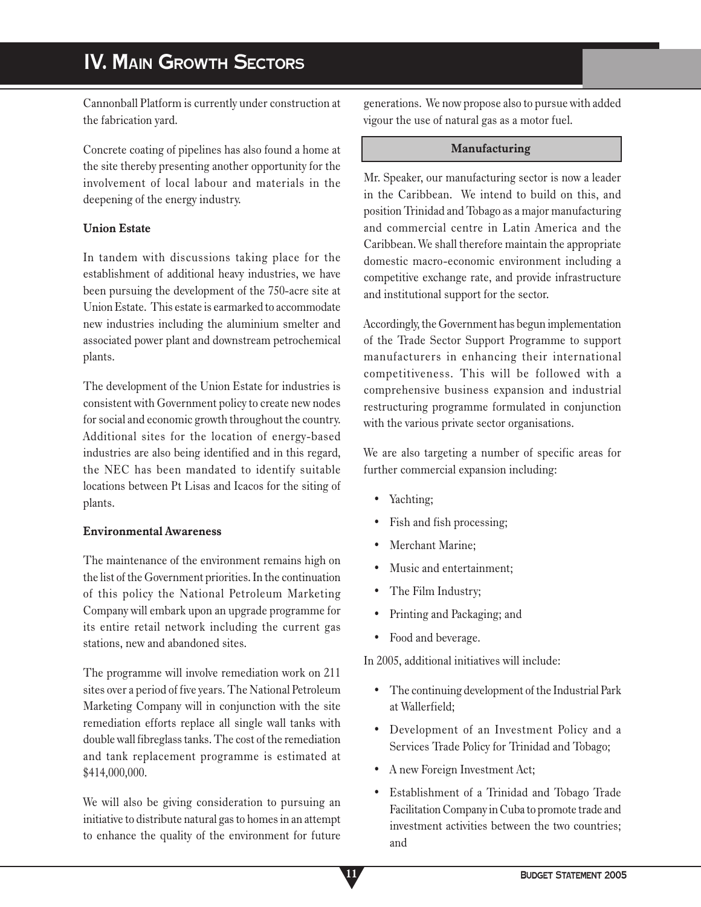Cannonball Platform is currently under construction at the fabrication yard.

Concrete coating of pipelines has also found a home at the site thereby presenting another opportunity for the involvement of local labour and materials in the deepening of the energy industry.

## **Union Estate**

In tandem with discussions taking place for the establishment of additional heavy industries, we have been pursuing the development of the 750-acre site at Union Estate. This estate is earmarked to accommodate new industries including the aluminium smelter and associated power plant and downstream petrochemical plants.

The development of the Union Estate for industries is consistent with Government policy to create new nodes for social and economic growth throughout the country. Additional sites for the location of energy-based industries are also being identified and in this regard, the NEC has been mandated to identify suitable locations between Pt Lisas and Icacos for the siting of plants.

### **Environmental Awareness**

The maintenance of the environment remains high on the list of the Government priorities. In the continuation of this policy the National Petroleum Marketing Company will embark upon an upgrade programme for its entire retail network including the current gas stations, new and abandoned sites.

The programme will involve remediation work on 211 sites over a period of five years. The National Petroleum Marketing Company will in conjunction with the site remediation efforts replace all single wall tanks with double wall fibreglass tanks. The cost of the remediation and tank replacement programme is estimated at \$414,000,000.

We will also be giving consideration to pursuing an initiative to distribute natural gas to homes in an attempt to enhance the quality of the environment for future generations. We now propose also to pursue with added vigour the use of natural gas as a motor fuel.

### **Manufacturing**

Mr. Speaker, our manufacturing sector is now a leader in the Caribbean. We intend to build on this, and position Trinidad and Tobago as a major manufacturing and commercial centre in Latin America and the Caribbean. We shall therefore maintain the appropriate domestic macro-economic environment including a competitive exchange rate, and provide infrastructure and institutional support for the sector.

Accordingly, the Government has begun implementation of the Trade Sector Support Programme to support manufacturers in enhancing their international competitiveness. This will be followed with a comprehensive business expansion and industrial restructuring programme formulated in conjunction with the various private sector organisations.

We are also targeting a number of specific areas for further commercial expansion including:

- Yachting;
- Fish and fish processing;
- Merchant Marine;
- Music and entertainment;
- The Film Industry;
- Printing and Packaging; and
- Food and beverage.

In 2005, additional initiatives will include:

- The continuing development of the Industrial Park at Wallerfield;
- Development of an Investment Policy and a Services Trade Policy for Trinidad and Tobago;
- A new Foreign Investment Act;
- Establishment of a Trinidad and Tobago Trade Facilitation Company in Cuba to promote trade and investment activities between the two countries; and

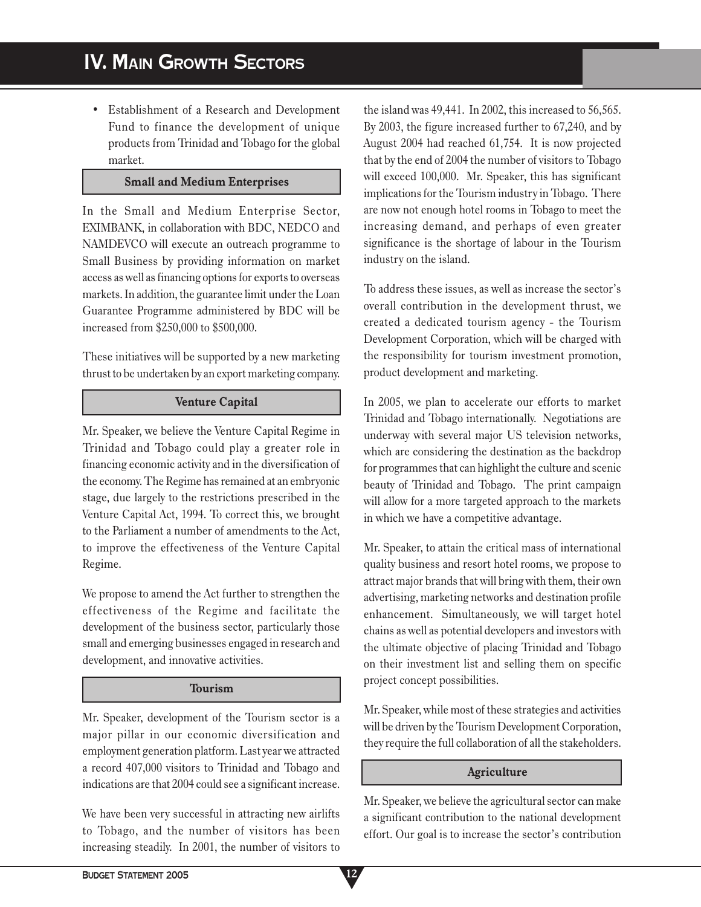• Establishment of a Research and Development Fund to finance the development of unique products from Trinidad and Tobago for the global market.

## **Small and Medium Enterprises**

In the Small and Medium Enterprise Sector, EXIMBANK, in collaboration with BDC, NEDCO and NAMDEVCO will execute an outreach programme to Small Business by providing information on market access as well as financing options for exports to overseas markets. In addition, the guarantee limit under the Loan Guarantee Programme administered by BDC will be increased from \$250,000 to \$500,000.

These initiatives will be supported by a new marketing thrust to be undertaken by an export marketing company.

### **Venture Capital**

Mr. Speaker, we believe the Venture Capital Regime in Trinidad and Tobago could play a greater role in financing economic activity and in the diversification of the economy. The Regime has remained at an embryonic stage, due largely to the restrictions prescribed in the Venture Capital Act, 1994. To correct this, we brought to the Parliament a number of amendments to the Act, to improve the effectiveness of the Venture Capital Regime.

We propose to amend the Act further to strengthen the effectiveness of the Regime and facilitate the development of the business sector, particularly those small and emerging businesses engaged in research and development, and innovative activities.

# **Tourism**

Mr. Speaker, development of the Tourism sector is a major pillar in our economic diversification and employment generation platform. Last year we attracted a record 407,000 visitors to Trinidad and Tobago and indications are that 2004 could see a significant increase.

We have been very successful in attracting new airlifts to Tobago, and the number of visitors has been increasing steadily. In 2001, the number of visitors to

the island was 49,441. In 2002, this increased to 56,565. By 2003, the figure increased further to 67,240, and by August 2004 had reached 61,754. It is now projected that by the end of 2004 the number of visitors to Tobago will exceed 100,000. Mr. Speaker, this has significant implications for the Tourism industry in Tobago. There are now not enough hotel rooms in Tobago to meet the increasing demand, and perhaps of even greater significance is the shortage of labour in the Tourism industry on the island.

To address these issues, as well as increase the sector's overall contribution in the development thrust, we created a dedicated tourism agency - the Tourism Development Corporation, which will be charged with the responsibility for tourism investment promotion, product development and marketing.

In 2005, we plan to accelerate our efforts to market Trinidad and Tobago internationally. Negotiations are underway with several major US television networks, which are considering the destination as the backdrop for programmes that can highlight the culture and scenic beauty of Trinidad and Tobago. The print campaign will allow for a more targeted approach to the markets in which we have a competitive advantage.

Mr. Speaker, to attain the critical mass of international quality business and resort hotel rooms, we propose to attract major brands that will bring with them, their own advertising, marketing networks and destination profile enhancement. Simultaneously, we will target hotel chains as well as potential developers and investors with the ultimate objective of placing Trinidad and Tobago on their investment list and selling them on specific project concept possibilities.

Mr. Speaker, while most of these strategies and activities will be driven by the Tourism Development Corporation, they require the full collaboration of all the stakeholders.

# **Agriculture**

Mr. Speaker, we believe the agricultural sector can make a significant contribution to the national development effort. Our goal is to increase the sector's contribution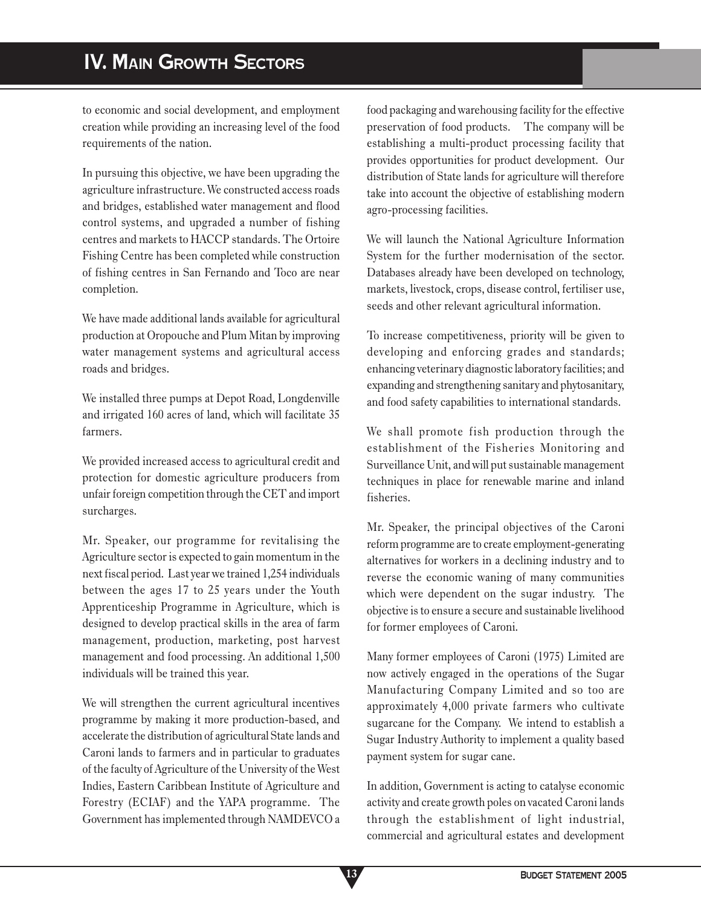# **IV. MAIN GROWTH SECTORS**

to economic and social development, and employment creation while providing an increasing level of the food requirements of the nation.

In pursuing this objective, we have been upgrading the agriculture infrastructure. We constructed access roads and bridges, established water management and flood control systems, and upgraded a number of fishing centres and markets to HACCP standards. The Ortoire Fishing Centre has been completed while construction of fishing centres in San Fernando and Toco are near completion.

We have made additional lands available for agricultural production at Oropouche and Plum Mitan by improving water management systems and agricultural access roads and bridges.

We installed three pumps at Depot Road, Longdenville and irrigated 160 acres of land, which will facilitate 35 farmers.

We provided increased access to agricultural credit and protection for domestic agriculture producers from unfair foreign competition through the CET and import surcharges.

Mr. Speaker, our programme for revitalising the Agriculture sector is expected to gain momentum in the next fiscal period. Last year we trained 1,254 individuals between the ages 17 to 25 years under the Youth Apprenticeship Programme in Agriculture, which is designed to develop practical skills in the area of farm management, production, marketing, post harvest management and food processing. An additional 1,500 individuals will be trained this year.

We will strengthen the current agricultural incentives programme by making it more production-based, and accelerate the distribution of agricultural State lands and Caroni lands to farmers and in particular to graduates of the faculty of Agriculture of the University of the West Indies, Eastern Caribbean Institute of Agriculture and Forestry (ECIAF) and the YAPA programme. The Government has implemented through NAMDEVCO a food packaging and warehousing facility for the effective preservation of food products. The company will be establishing a multi-product processing facility that provides opportunities for product development. Our distribution of State lands for agriculture will therefore take into account the objective of establishing modern agro-processing facilities.

We will launch the National Agriculture Information System for the further modernisation of the sector. Databases already have been developed on technology, markets, livestock, crops, disease control, fertiliser use, seeds and other relevant agricultural information.

To increase competitiveness, priority will be given to developing and enforcing grades and standards; enhancing veterinary diagnostic laboratory facilities; and expanding and strengthening sanitary and phytosanitary, and food safety capabilities to international standards.

We shall promote fish production through the establishment of the Fisheries Monitoring and Surveillance Unit, and will put sustainable management techniques in place for renewable marine and inland fisheries.

Mr. Speaker, the principal objectives of the Caroni reform programme are to create employment-generating alternatives for workers in a declining industry and to reverse the economic waning of many communities which were dependent on the sugar industry. The objective is to ensure a secure and sustainable livelihood for former employees of Caroni.

Many former employees of Caroni (1975) Limited are now actively engaged in the operations of the Sugar Manufacturing Company Limited and so too are approximately 4,000 private farmers who cultivate sugarcane for the Company. We intend to establish a Sugar Industry Authority to implement a quality based payment system for sugar cane.

In addition, Government is acting to catalyse economic activity and create growth poles on vacated Caroni lands through the establishment of light industrial, commercial and agricultural estates and development

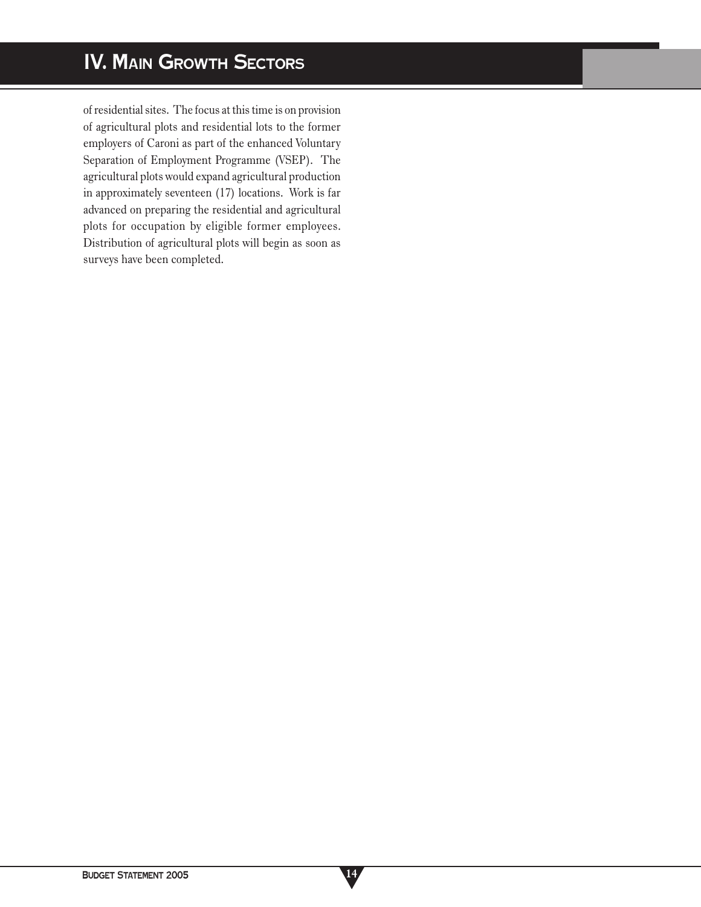of residential sites. The focus at this time is on provision of agricultural plots and residential lots to the former employers of Caroni as part of the enhanced Voluntary Separation of Employment Programme (VSEP). The agricultural plots would expand agricultural production in approximately seventeen (17) locations. Work is far advanced on preparing the residential and agricultural plots for occupation by eligible former employees. Distribution of agricultural plots will begin as soon as surveys have been completed.

**14**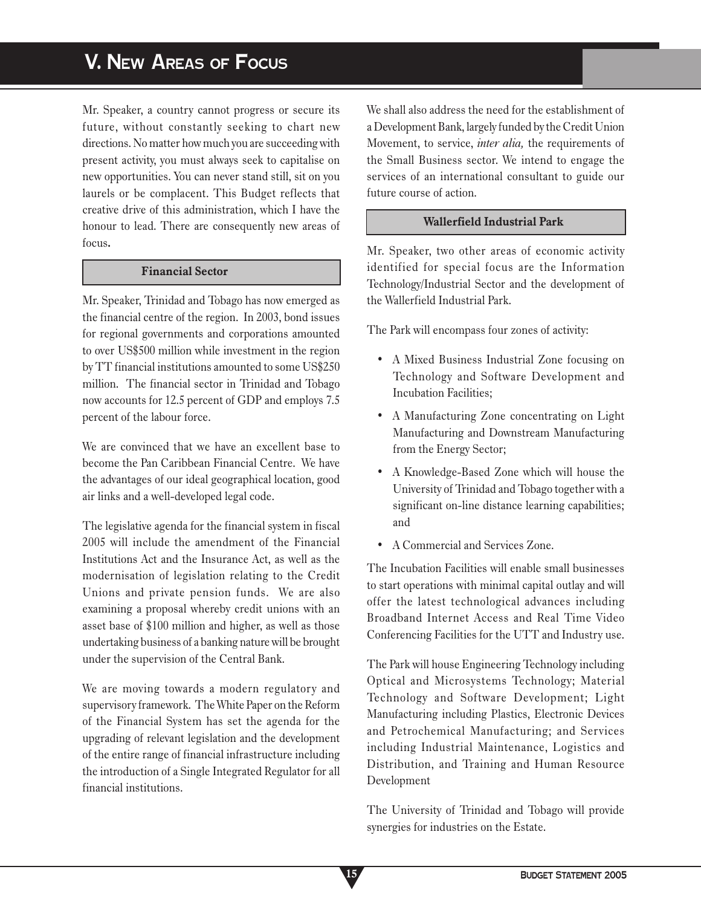# **V. NEW AREAS OF FOCUS**

Mr. Speaker, a country cannot progress or secure its future, without constantly seeking to chart new directions. No matter how much you are succeeding with present activity, you must always seek to capitalise on new opportunities. You can never stand still, sit on you laurels or be complacent. This Budget reflects that creative drive of this administration, which I have the honour to lead. There are consequently new areas of focus**.**

## **Financial Sector**

Mr. Speaker, Trinidad and Tobago has now emerged as the financial centre of the region. In 2003, bond issues for regional governments and corporations amounted to over US\$500 million while investment in the region by TT financial institutions amounted to some US\$250 million. The financial sector in Trinidad and Tobago now accounts for 12.5 percent of GDP and employs 7.5 percent of the labour force.

We are convinced that we have an excellent base to become the Pan Caribbean Financial Centre. We have the advantages of our ideal geographical location, good air links and a well-developed legal code.

The legislative agenda for the financial system in fiscal 2005 will include the amendment of the Financial Institutions Act and the Insurance Act, as well as the modernisation of legislation relating to the Credit Unions and private pension funds. We are also examining a proposal whereby credit unions with an asset base of \$100 million and higher, as well as those undertaking business of a banking nature will be brought under the supervision of the Central Bank.

We are moving towards a modern regulatory and supervisory framework. The White Paper on the Reform of the Financial System has set the agenda for the upgrading of relevant legislation and the development of the entire range of financial infrastructure including the introduction of a Single Integrated Regulator for all financial institutions.

We shall also address the need for the establishment of a Development Bank, largely funded by the Credit Union Movement, to service, *inter alia,* the requirements of the Small Business sector. We intend to engage the services of an international consultant to guide our future course of action.

## **Wallerfield Industrial Park**

Mr. Speaker, two other areas of economic activity identified for special focus are the Information Technology/Industrial Sector and the development of the Wallerfield Industrial Park.

The Park will encompass four zones of activity:

- A Mixed Business Industrial Zone focusing on Technology and Software Development and Incubation Facilities;
- A Manufacturing Zone concentrating on Light Manufacturing and Downstream Manufacturing from the Energy Sector;
- A Knowledge-Based Zone which will house the University of Trinidad and Tobago together with a significant on-line distance learning capabilities; and
- A Commercial and Services Zone.

The Incubation Facilities will enable small businesses to start operations with minimal capital outlay and will offer the latest technological advances including Broadband Internet Access and Real Time Video Conferencing Facilities for the UTT and Industry use.

The Park will house Engineering Technology including Optical and Microsystems Technology; Material Technology and Software Development; Light Manufacturing including Plastics, Electronic Devices and Petrochemical Manufacturing; and Services including Industrial Maintenance, Logistics and Distribution, and Training and Human Resource Development

The University of Trinidad and Tobago will provide synergies for industries on the Estate.

**15**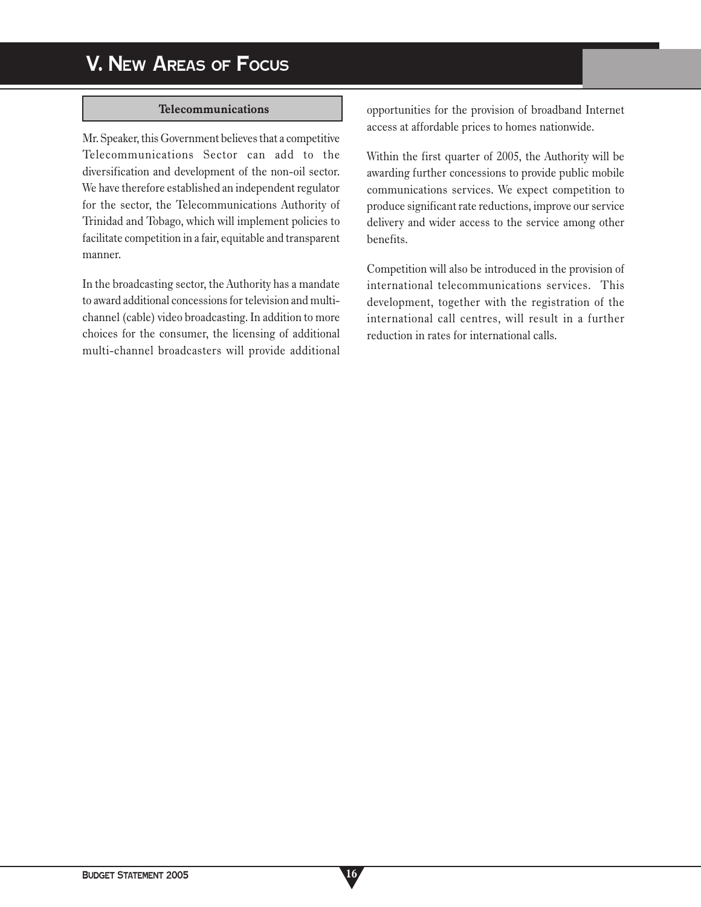#### **Telecommunications**

Mr. Speaker, this Government believes that a competitive Telecommunications Sector can add to the diversification and development of the non-oil sector. We have therefore established an independent regulator for the sector, the Telecommunications Authority of Trinidad and Tobago, which will implement policies to facilitate competition in a fair, equitable and transparent manner.

In the broadcasting sector, the Authority has a mandate to award additional concessions for television and multichannel (cable) video broadcasting. In addition to more choices for the consumer, the licensing of additional multi-channel broadcasters will provide additional opportunities for the provision of broadband Internet access at affordable prices to homes nationwide.

Within the first quarter of 2005, the Authority will be awarding further concessions to provide public mobile communications services. We expect competition to produce significant rate reductions, improve our service delivery and wider access to the service among other benefits.

Competition will also be introduced in the provision of international telecommunications services. This development, together with the registration of the international call centres, will result in a further reduction in rates for international calls.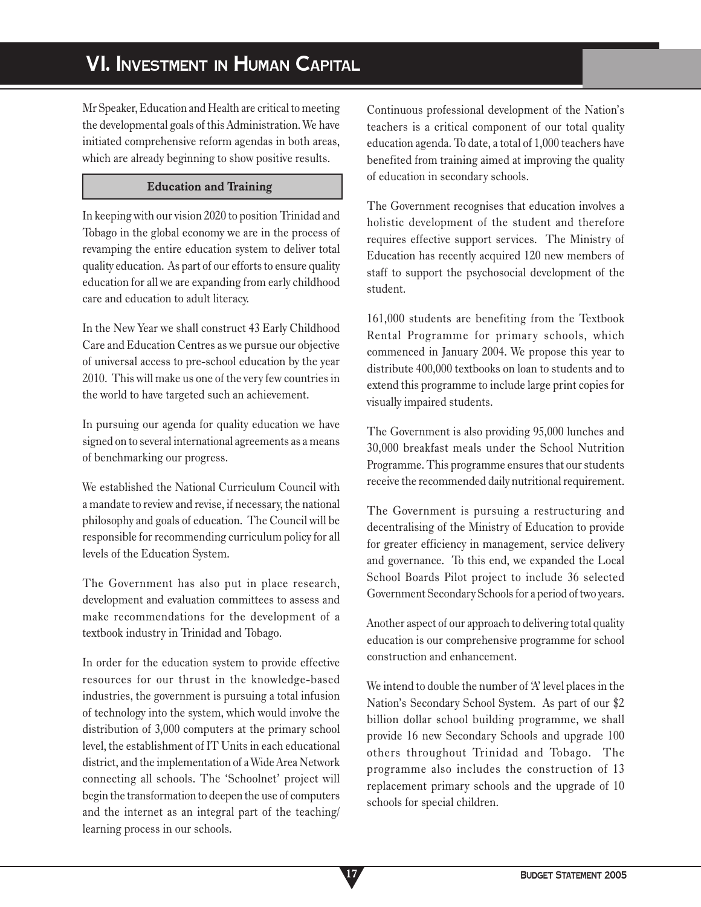# **VI. INVESTMENT IN HUMAN CAPITAL**

Mr Speaker, Education and Health are critical to meeting the developmental goals of this Administration. We have initiated comprehensive reform agendas in both areas, which are already beginning to show positive results.

## **Education and Training**

In keeping with our vision 2020 to position Trinidad and Tobago in the global economy we are in the process of revamping the entire education system to deliver total quality education. As part of our efforts to ensure quality education for all we are expanding from early childhood care and education to adult literacy.

In the New Year we shall construct 43 Early Childhood Care and Education Centres as we pursue our objective of universal access to pre-school education by the year 2010. This will make us one of the very few countries in the world to have targeted such an achievement.

In pursuing our agenda for quality education we have signed on to several international agreements as a means of benchmarking our progress.

We established the National Curriculum Council with a mandate to review and revise, if necessary, the national philosophy and goals of education. The Council will be responsible for recommending curriculum policy for all levels of the Education System.

The Government has also put in place research, development and evaluation committees to assess and make recommendations for the development of a textbook industry in Trinidad and Tobago.

In order for the education system to provide effective resources for our thrust in the knowledge-based industries, the government is pursuing a total infusion of technology into the system, which would involve the distribution of 3,000 computers at the primary school level, the establishment of IT Units in each educational district, and the implementation of a Wide Area Network connecting all schools. The 'Schoolnet' project will begin the transformation to deepen the use of computers and the internet as an integral part of the teaching/ learning process in our schools.

Continuous professional development of the Nation's teachers is a critical component of our total quality education agenda. To date, a total of 1,000 teachers have benefited from training aimed at improving the quality of education in secondary schools.

The Government recognises that education involves a holistic development of the student and therefore requires effective support services. The Ministry of Education has recently acquired 120 new members of staff to support the psychosocial development of the student.

161,000 students are benefiting from the Textbook Rental Programme for primary schools, which commenced in January 2004. We propose this year to distribute 400,000 textbooks on loan to students and to extend this programme to include large print copies for visually impaired students.

The Government is also providing 95,000 lunches and 30,000 breakfast meals under the School Nutrition Programme. This programme ensures that our students receive the recommended daily nutritional requirement.

The Government is pursuing a restructuring and decentralising of the Ministry of Education to provide for greater efficiency in management, service delivery and governance. To this end, we expanded the Local School Boards Pilot project to include 36 selected Government Secondary Schools for a period of two years.

Another aspect of our approach to delivering total quality education is our comprehensive programme for school construction and enhancement.

We intend to double the number of 'A' level places in the Nation's Secondary School System. As part of our \$2 billion dollar school building programme, we shall provide 16 new Secondary Schools and upgrade 100 others throughout Trinidad and Tobago. The programme also includes the construction of 13 replacement primary schools and the upgrade of 10 schools for special children.

**17**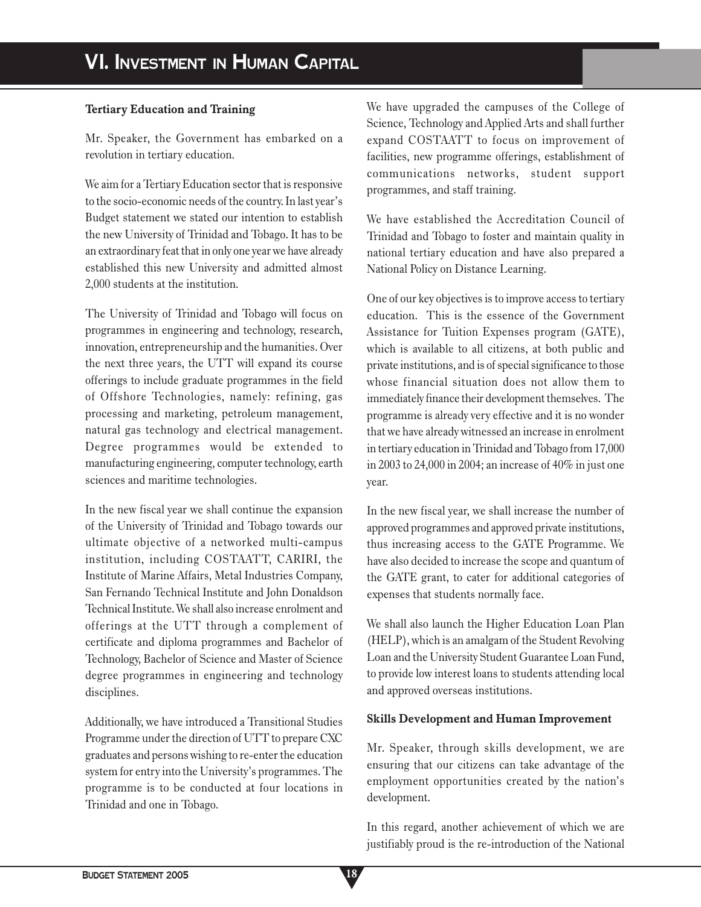## **Tertiary Education and Training**

Mr. Speaker, the Government has embarked on a revolution in tertiary education.

We aim for a Tertiary Education sector that is responsive to the socio-economic needs of the country. In last year's Budget statement we stated our intention to establish the new University of Trinidad and Tobago. It has to be an extraordinary feat that in only one year we have already established this new University and admitted almost 2,000 students at the institution.

The University of Trinidad and Tobago will focus on programmes in engineering and technology, research, innovation, entrepreneurship and the humanities. Over the next three years, the UTT will expand its course offerings to include graduate programmes in the field of Offshore Technologies, namely: refining, gas processing and marketing, petroleum management, natural gas technology and electrical management. Degree programmes would be extended to manufacturing engineering, computer technology, earth sciences and maritime technologies.

In the new fiscal year we shall continue the expansion of the University of Trinidad and Tobago towards our ultimate objective of a networked multi-campus institution, including COSTAATT, CARIRI, the Institute of Marine Affairs, Metal Industries Company, San Fernando Technical Institute and John Donaldson Technical Institute. We shall also increase enrolment and offerings at the UTT through a complement of certificate and diploma programmes and Bachelor of Technology, Bachelor of Science and Master of Science degree programmes in engineering and technology disciplines.

Additionally, we have introduced a Transitional Studies Programme under the direction of UTT to prepare CXC graduates and persons wishing to re-enter the education system for entry into the University's programmes. The programme is to be conducted at four locations in Trinidad and one in Tobago.

We have upgraded the campuses of the College of Science, Technology and Applied Arts and shall further expand COSTAATT to focus on improvement of facilities, new programme offerings, establishment of communications networks, student support programmes, and staff training.

We have established the Accreditation Council of Trinidad and Tobago to foster and maintain quality in national tertiary education and have also prepared a National Policy on Distance Learning.

One of our key objectives is to improve access to tertiary education. This is the essence of the Government Assistance for Tuition Expenses program (GATE), which is available to all citizens, at both public and private institutions, and is of special significance to those whose financial situation does not allow them to immediately finance their development themselves. The programme is already very effective and it is no wonder that we have already witnessed an increase in enrolment in tertiary education in Trinidad and Tobago from 17,000 in 2003 to 24,000 in 2004; an increase of 40% in just one year.

In the new fiscal year, we shall increase the number of approved programmes and approved private institutions, thus increasing access to the GATE Programme. We have also decided to increase the scope and quantum of the GATE grant, to cater for additional categories of expenses that students normally face.

We shall also launch the Higher Education Loan Plan (HELP), which is an amalgam of the Student Revolving Loan and the University Student Guarantee Loan Fund, to provide low interest loans to students attending local and approved overseas institutions.

### **Skills Development and Human Improvement**

Mr. Speaker, through skills development, we are ensuring that our citizens can take advantage of the employment opportunities created by the nation's development.

In this regard, another achievement of which we are justifiably proud is the re-introduction of the National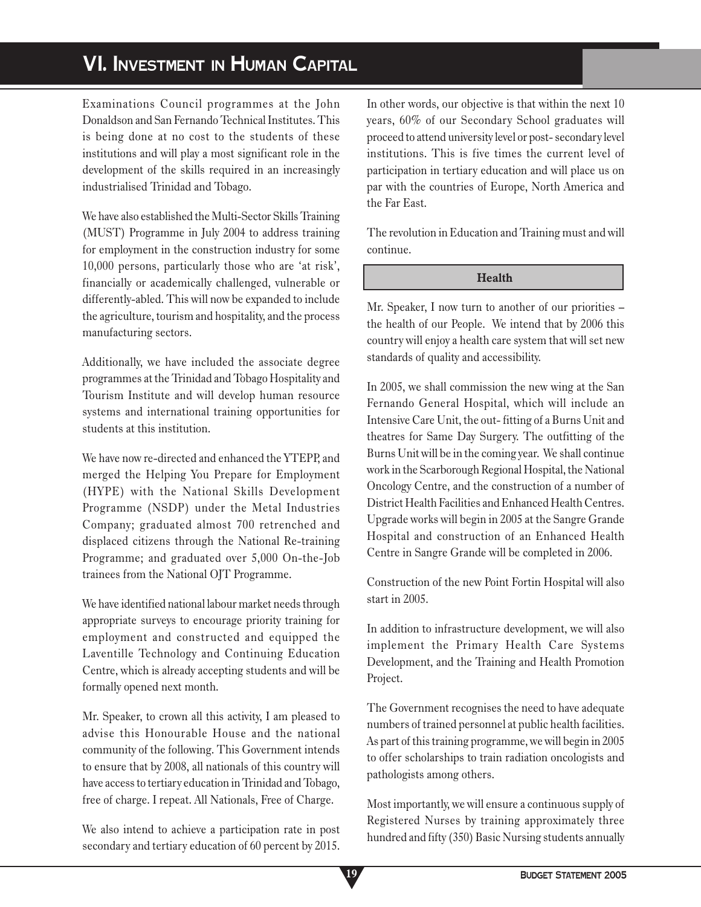# **VI. INVESTMENT IN HUMAN CAPITAL**

Examinations Council programmes at the John Donaldson and San Fernando Technical Institutes. This is being done at no cost to the students of these institutions and will play a most significant role in the development of the skills required in an increasingly industrialised Trinidad and Tobago.

We have also established the Multi-Sector Skills Training (MUST) Programme in July 2004 to address training for employment in the construction industry for some 10,000 persons, particularly those who are 'at risk', financially or academically challenged, vulnerable or differently-abled. This will now be expanded to include the agriculture, tourism and hospitality, and the process manufacturing sectors.

Additionally, we have included the associate degree programmes at the Trinidad and Tobago Hospitality and Tourism Institute and will develop human resource systems and international training opportunities for students at this institution.

We have now re-directed and enhanced the YTEPP, and merged the Helping You Prepare for Employment (HYPE) with the National Skills Development Programme (NSDP) under the Metal Industries Company; graduated almost 700 retrenched and displaced citizens through the National Re-training Programme; and graduated over 5,000 On-the-Job trainees from the National OJT Programme.

We have identified national labour market needs through appropriate surveys to encourage priority training for employment and constructed and equipped the Laventille Technology and Continuing Education Centre, which is already accepting students and will be formally opened next month.

Mr. Speaker, to crown all this activity, I am pleased to advise this Honourable House and the national community of the following. This Government intends to ensure that by 2008, all nationals of this country will have access to tertiary education in Trinidad and Tobago, free of charge. I repeat. All Nationals, Free of Charge.

We also intend to achieve a participation rate in post secondary and tertiary education of 60 percent by 2015. In other words, our objective is that within the next 10 years, 60% of our Secondary School graduates will proceed to attend university level or post- secondary level institutions. This is five times the current level of participation in tertiary education and will place us on par with the countries of Europe, North America and the Far East.

The revolution in Education and Training must and will continue.

## **Health**

Mr. Speaker, I now turn to another of our priorities – the health of our People. We intend that by 2006 this country will enjoy a health care system that will set new standards of quality and accessibility.

In 2005, we shall commission the new wing at the San Fernando General Hospital, which will include an Intensive Care Unit, the out- fitting of a Burns Unit and theatres for Same Day Surgery. The outfitting of the Burns Unit will be in the coming year. We shall continue work in the Scarborough Regional Hospital, the National Oncology Centre, and the construction of a number of District Health Facilities and Enhanced Health Centres. Upgrade works will begin in 2005 at the Sangre Grande Hospital and construction of an Enhanced Health Centre in Sangre Grande will be completed in 2006.

Construction of the new Point Fortin Hospital will also start in 2005.

In addition to infrastructure development, we will also implement the Primary Health Care Systems Development, and the Training and Health Promotion Project.

The Government recognises the need to have adequate numbers of trained personnel at public health facilities. As part of this training programme, we will begin in 2005 to offer scholarships to train radiation oncologists and pathologists among others.

Most importantly, we will ensure a continuous supply of Registered Nurses by training approximately three hundred and fifty (350) Basic Nursing students annually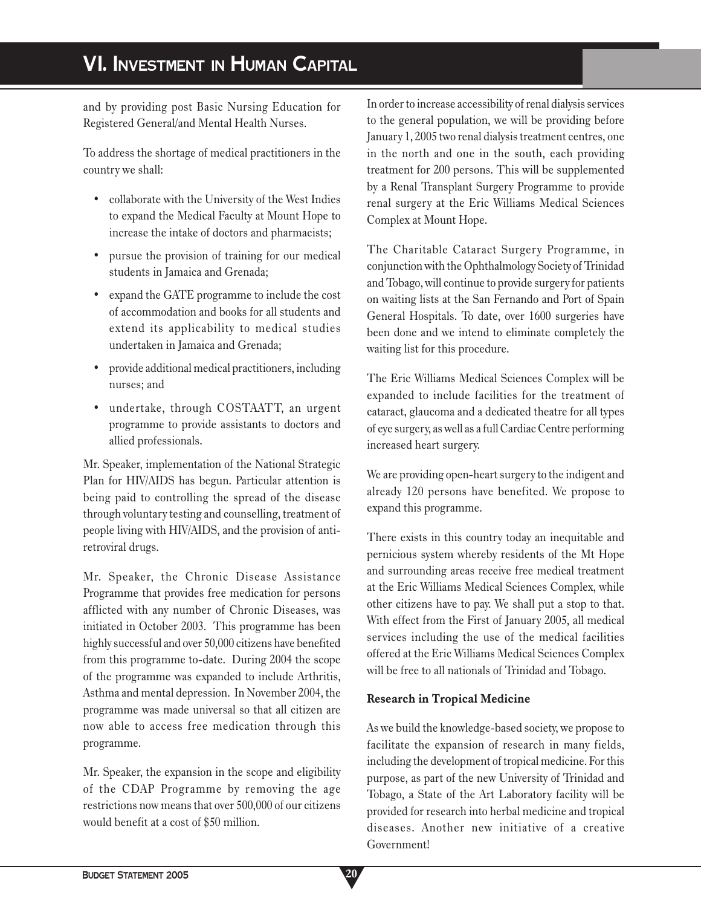# **VI. INVESTMENT IN HUMAN CAPITAL**

and by providing post Basic Nursing Education for Registered General/and Mental Health Nurses.

To address the shortage of medical practitioners in the country we shall:

- collaborate with the University of the West Indies to expand the Medical Faculty at Mount Hope to increase the intake of doctors and pharmacists;
- pursue the provision of training for our medical students in Jamaica and Grenada;
- expand the GATE programme to include the cost of accommodation and books for all students and extend its applicability to medical studies undertaken in Jamaica and Grenada;
- provide additional medical practitioners, including nurses; and
- undertake, through COSTAATT, an urgent programme to provide assistants to doctors and allied professionals.

Mr. Speaker, implementation of the National Strategic Plan for HIV/AIDS has begun. Particular attention is being paid to controlling the spread of the disease through voluntary testing and counselling, treatment of people living with HIV/AIDS, and the provision of antiretroviral drugs.

Mr. Speaker, the Chronic Disease Assistance Programme that provides free medication for persons afflicted with any number of Chronic Diseases, was initiated in October 2003. This programme has been highly successful and over 50,000 citizens have benefited from this programme to-date. During 2004 the scope of the programme was expanded to include Arthritis, Asthma and mental depression. In November 2004, the programme was made universal so that all citizen are now able to access free medication through this programme.

Mr. Speaker, the expansion in the scope and eligibility of the CDAP Programme by removing the age restrictions now means that over 500,000 of our citizens would benefit at a cost of \$50 million.

In order to increase accessibility of renal dialysis services to the general population, we will be providing before January 1, 2005 two renal dialysis treatment centres, one in the north and one in the south, each providing treatment for 200 persons. This will be supplemented by a Renal Transplant Surgery Programme to provide renal surgery at the Eric Williams Medical Sciences Complex at Mount Hope.

The Charitable Cataract Surgery Programme, in conjunction with the Ophthalmology Society of Trinidad and Tobago, will continue to provide surgery for patients on waiting lists at the San Fernando and Port of Spain General Hospitals. To date, over 1600 surgeries have been done and we intend to eliminate completely the waiting list for this procedure.

The Eric Williams Medical Sciences Complex will be expanded to include facilities for the treatment of cataract, glaucoma and a dedicated theatre for all types of eye surgery, as well as a full Cardiac Centre performing increased heart surgery.

We are providing open-heart surgery to the indigent and already 120 persons have benefited. We propose to expand this programme.

There exists in this country today an inequitable and pernicious system whereby residents of the Mt Hope and surrounding areas receive free medical treatment at the Eric Williams Medical Sciences Complex, while other citizens have to pay. We shall put a stop to that. With effect from the First of January 2005, all medical services including the use of the medical facilities offered at the Eric Williams Medical Sciences Complex will be free to all nationals of Trinidad and Tobago.

# **Research in Tropical Medicine**

As we build the knowledge-based society, we propose to facilitate the expansion of research in many fields, including the development of tropical medicine. For this purpose, as part of the new University of Trinidad and Tobago, a State of the Art Laboratory facility will be provided for research into herbal medicine and tropical diseases. Another new initiative of a creative Government!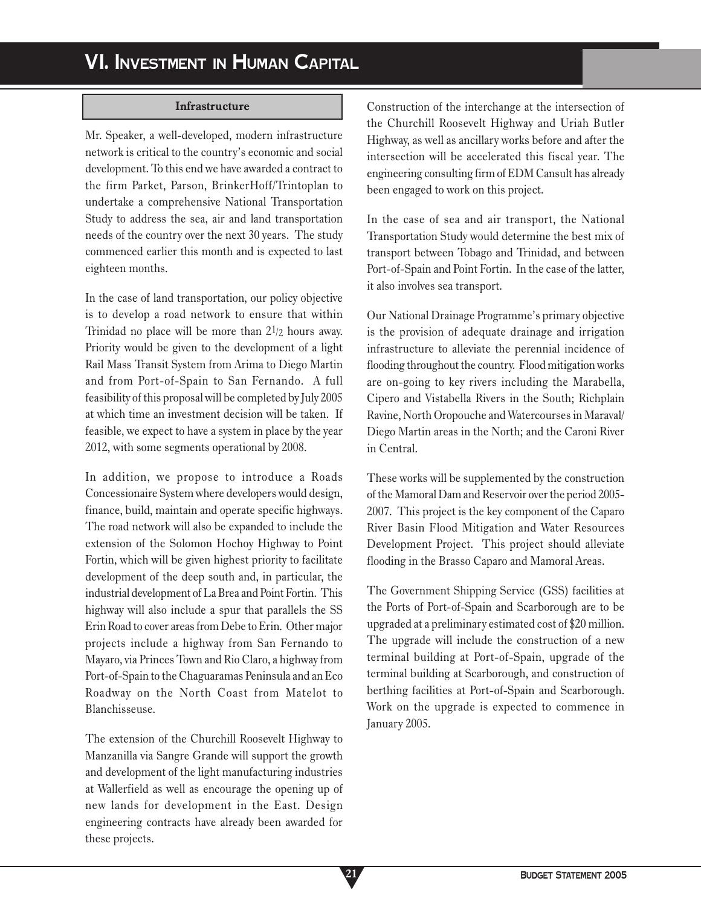### **Infrastructure**

Mr. Speaker, a well-developed, modern infrastructure network is critical to the country's economic and social development. To this end we have awarded a contract to the firm Parket, Parson, BrinkerHoff/Trintoplan to undertake a comprehensive National Transportation Study to address the sea, air and land transportation needs of the country over the next 30 years. The study commenced earlier this month and is expected to last eighteen months.

In the case of land transportation, our policy objective is to develop a road network to ensure that within Trinidad no place will be more than 21/2 hours away. Priority would be given to the development of a light Rail Mass Transit System from Arima to Diego Martin and from Port-of-Spain to San Fernando. A full feasibility of this proposal will be completed by July 2005 at which time an investment decision will be taken. If feasible, we expect to have a system in place by the year 2012, with some segments operational by 2008.

In addition, we propose to introduce a Roads Concessionaire System where developers would design, finance, build, maintain and operate specific highways. The road network will also be expanded to include the extension of the Solomon Hochoy Highway to Point Fortin, which will be given highest priority to facilitate development of the deep south and, in particular, the industrial development of La Brea and Point Fortin. This highway will also include a spur that parallels the SS Erin Road to cover areas from Debe to Erin. Other major projects include a highway from San Fernando to Mayaro, via Princes Town and Rio Claro, a highway from Port-of-Spain to the Chaguaramas Peninsula and an Eco Roadway on the North Coast from Matelot to Blanchisseuse.

The extension of the Churchill Roosevelt Highway to Manzanilla via Sangre Grande will support the growth and development of the light manufacturing industries at Wallerfield as well as encourage the opening up of new lands for development in the East. Design engineering contracts have already been awarded for these projects.

**21**

Construction of the interchange at the intersection of the Churchill Roosevelt Highway and Uriah Butler Highway, as well as ancillary works before and after the intersection will be accelerated this fiscal year. The engineering consulting firm of EDM Cansult has already been engaged to work on this project.

In the case of sea and air transport, the National Transportation Study would determine the best mix of transport between Tobago and Trinidad, and between Port-of-Spain and Point Fortin. In the case of the latter, it also involves sea transport.

Our National Drainage Programme's primary objective is the provision of adequate drainage and irrigation infrastructure to alleviate the perennial incidence of flooding throughout the country. Flood mitigation works are on-going to key rivers including the Marabella, Cipero and Vistabella Rivers in the South; Richplain Ravine, North Oropouche and Watercourses in Maraval/ Diego Martin areas in the North; and the Caroni River in Central.

These works will be supplemented by the construction of the Mamoral Dam and Reservoir over the period 2005- 2007. This project is the key component of the Caparo River Basin Flood Mitigation and Water Resources Development Project. This project should alleviate flooding in the Brasso Caparo and Mamoral Areas.

The Government Shipping Service (GSS) facilities at the Ports of Port-of-Spain and Scarborough are to be upgraded at a preliminary estimated cost of \$20 million. The upgrade will include the construction of a new terminal building at Port-of-Spain, upgrade of the terminal building at Scarborough, and construction of berthing facilities at Port-of-Spain and Scarborough. Work on the upgrade is expected to commence in January 2005.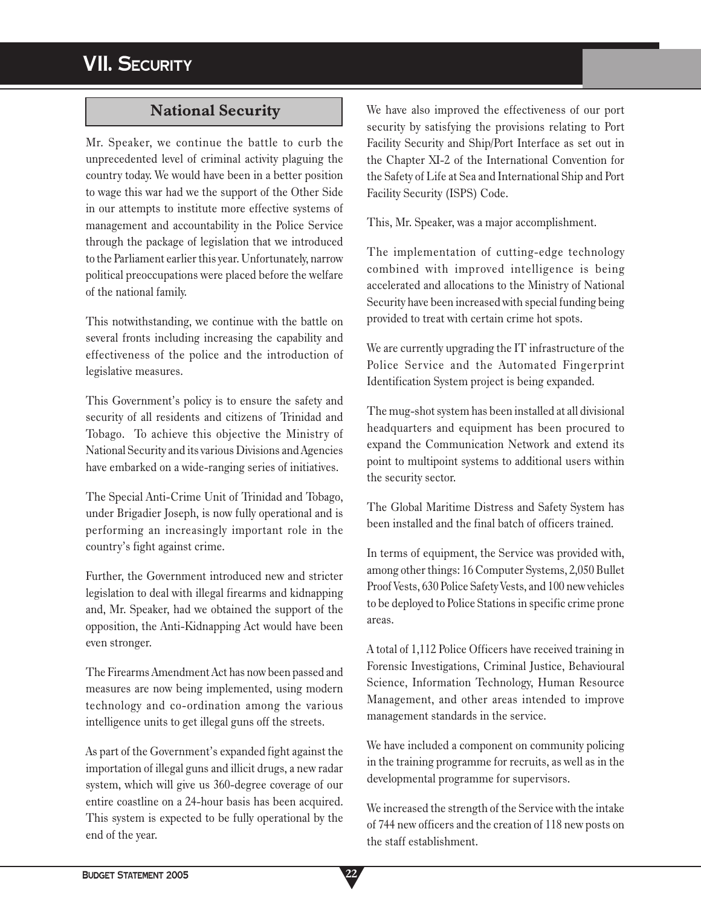# **VII. SECURITY**

# **National Security**

Mr. Speaker, we continue the battle to curb the unprecedented level of criminal activity plaguing the country today. We would have been in a better position to wage this war had we the support of the Other Side in our attempts to institute more effective systems of management and accountability in the Police Service through the package of legislation that we introduced to the Parliament earlier this year. Unfortunately, narrow political preoccupations were placed before the welfare of the national family.

This notwithstanding, we continue with the battle on several fronts including increasing the capability and effectiveness of the police and the introduction of legislative measures.

This Government's policy is to ensure the safety and security of all residents and citizens of Trinidad and Tobago. To achieve this objective the Ministry of National Security and its various Divisions and Agencies have embarked on a wide-ranging series of initiatives.

The Special Anti-Crime Unit of Trinidad and Tobago, under Brigadier Joseph, is now fully operational and is performing an increasingly important role in the country's fight against crime.

Further, the Government introduced new and stricter legislation to deal with illegal firearms and kidnapping and, Mr. Speaker, had we obtained the support of the opposition, the Anti-Kidnapping Act would have been even stronger.

The Firearms Amendment Act has now been passed and measures are now being implemented, using modern technology and co-ordination among the various intelligence units to get illegal guns off the streets.

As part of the Government's expanded fight against the importation of illegal guns and illicit drugs, a new radar system, which will give us 360-degree coverage of our entire coastline on a 24-hour basis has been acquired. This system is expected to be fully operational by the end of the year.

We have also improved the effectiveness of our port security by satisfying the provisions relating to Port Facility Security and Ship/Port Interface as set out in the Chapter XI-2 of the International Convention for the Safety of Life at Sea and International Ship and Port Facility Security (ISPS) Code.

This, Mr. Speaker, was a major accomplishment.

The implementation of cutting-edge technology combined with improved intelligence is being accelerated and allocations to the Ministry of National Security have been increased with special funding being provided to treat with certain crime hot spots.

We are currently upgrading the IT infrastructure of the Police Service and the Automated Fingerprint Identification System project is being expanded.

The mug-shot system has been installed at all divisional headquarters and equipment has been procured to expand the Communication Network and extend its point to multipoint systems to additional users within the security sector.

The Global Maritime Distress and Safety System has been installed and the final batch of officers trained.

In terms of equipment, the Service was provided with, among other things: 16 Computer Systems, 2,050 Bullet Proof Vests, 630 Police Safety Vests, and 100 new vehicles to be deployed to Police Stations in specific crime prone areas.

A total of 1,112 Police Officers have received training in Forensic Investigations, Criminal Justice, Behavioural Science, Information Technology, Human Resource Management, and other areas intended to improve management standards in the service.

We have included a component on community policing in the training programme for recruits, as well as in the developmental programme for supervisors.

We increased the strength of the Service with the intake of 744 new officers and the creation of 118 new posts on the staff establishment.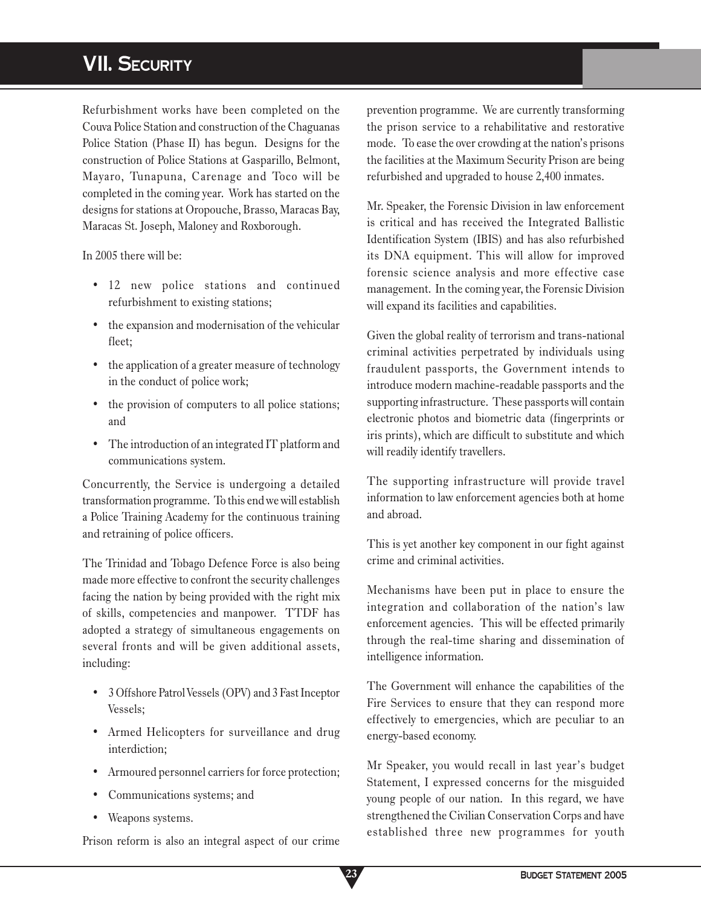# **VII. SECURITY**

Refurbishment works have been completed on the Couva Police Station and construction of the Chaguanas Police Station (Phase II) has begun. Designs for the construction of Police Stations at Gasparillo, Belmont, Mayaro, Tunapuna, Carenage and Toco will be completed in the coming year. Work has started on the designs for stations at Oropouche, Brasso, Maracas Bay, Maracas St. Joseph, Maloney and Roxborough.

In 2005 there will be:

- 12 new police stations and continued refurbishment to existing stations;
- the expansion and modernisation of the vehicular fleet;
- the application of a greater measure of technology in the conduct of police work;
- the provision of computers to all police stations; and
- The introduction of an integrated IT platform and communications system.

Concurrently, the Service is undergoing a detailed transformation programme. To this end we will establish a Police Training Academy for the continuous training and retraining of police officers.

The Trinidad and Tobago Defence Force is also being made more effective to confront the security challenges facing the nation by being provided with the right mix of skills, competencies and manpower. TTDF has adopted a strategy of simultaneous engagements on several fronts and will be given additional assets, including:

- 3 Offshore Patrol Vessels (OPV) and 3 Fast Inceptor Vessels;
- Armed Helicopters for surveillance and drug interdiction;
- Armoured personnel carriers for force protection;
- Communications systems; and
- Weapons systems.

Prison reform is also an integral aspect of our crime

prevention programme. We are currently transforming the prison service to a rehabilitative and restorative mode. To ease the over crowding at the nation's prisons the facilities at the Maximum Security Prison are being refurbished and upgraded to house 2,400 inmates.

Mr. Speaker, the Forensic Division in law enforcement is critical and has received the Integrated Ballistic Identification System (IBIS) and has also refurbished its DNA equipment. This will allow for improved forensic science analysis and more effective case management. In the coming year, the Forensic Division will expand its facilities and capabilities.

Given the global reality of terrorism and trans-national criminal activities perpetrated by individuals using fraudulent passports, the Government intends to introduce modern machine-readable passports and the supporting infrastructure. These passports will contain electronic photos and biometric data (fingerprints or iris prints), which are difficult to substitute and which will readily identify travellers.

The supporting infrastructure will provide travel information to law enforcement agencies both at home and abroad.

This is yet another key component in our fight against crime and criminal activities.

Mechanisms have been put in place to ensure the integration and collaboration of the nation's law enforcement agencies. This will be effected primarily through the real-time sharing and dissemination of intelligence information.

The Government will enhance the capabilities of the Fire Services to ensure that they can respond more effectively to emergencies, which are peculiar to an energy-based economy.

Mr Speaker, you would recall in last year's budget Statement, I expressed concerns for the misguided young people of our nation. In this regard, we have strengthened the Civilian Conservation Corps and have established three new programmes for youth

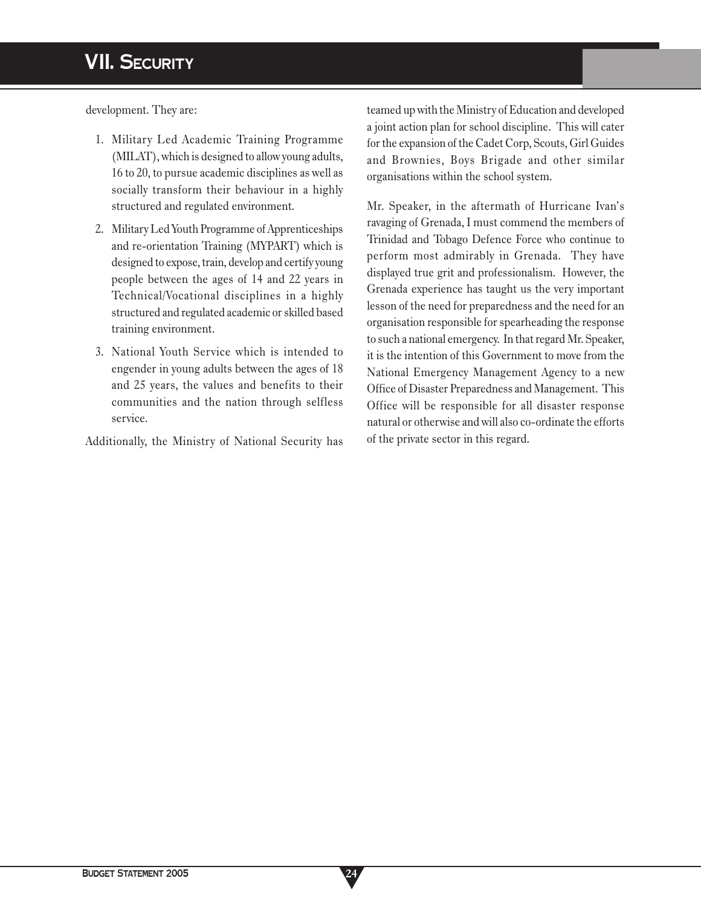# **VII. SECURITY**

development. They are:

- 1. Military Led Academic Training Programme (MILAT), which is designed to allow young adults, 16 to 20, to pursue academic disciplines as well as socially transform their behaviour in a highly structured and regulated environment.
- 2. Military Led Youth Programme of Apprenticeships and re-orientation Training (MYPART) which is designed to expose, train, develop and certify young people between the ages of 14 and 22 years in Technical/Vocational disciplines in a highly structured and regulated academic or skilled based training environment.
- 3. National Youth Service which is intended to engender in young adults between the ages of 18 and 25 years, the values and benefits to their communities and the nation through selfless service.

Additionally, the Ministry of National Security has

teamed up with the Ministry of Education and developed a joint action plan for school discipline. This will cater for the expansion of the Cadet Corp, Scouts, Girl Guides and Brownies, Boys Brigade and other similar organisations within the school system.

Mr. Speaker, in the aftermath of Hurricane Ivan's ravaging of Grenada, I must commend the members of Trinidad and Tobago Defence Force who continue to perform most admirably in Grenada. They have displayed true grit and professionalism. However, the Grenada experience has taught us the very important lesson of the need for preparedness and the need for an organisation responsible for spearheading the response to such a national emergency. In that regard Mr. Speaker, it is the intention of this Government to move from the National Emergency Management Agency to a new Office of Disaster Preparedness and Management. This Office will be responsible for all disaster response natural or otherwise and will also co-ordinate the efforts of the private sector in this regard.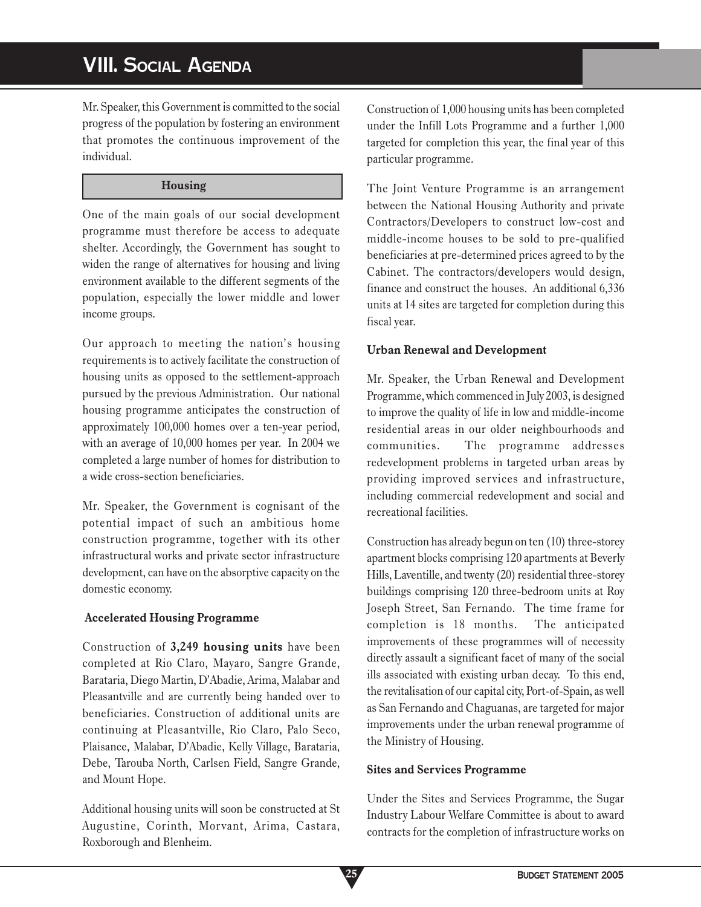# **VIII. SOCIAL AGENDA**

Mr. Speaker, this Government is committed to the social progress of the population by fostering an environment that promotes the continuous improvement of the individual.

### **Housing**

One of the main goals of our social development programme must therefore be access to adequate shelter. Accordingly, the Government has sought to widen the range of alternatives for housing and living environment available to the different segments of the population, especially the lower middle and lower income groups.

Our approach to meeting the nation's housing requirements is to actively facilitate the construction of housing units as opposed to the settlement-approach pursued by the previous Administration. Our national housing programme anticipates the construction of approximately 100,000 homes over a ten-year period, with an average of 10,000 homes per year. In 2004 we completed a large number of homes for distribution to a wide cross-section beneficiaries.

Mr. Speaker, the Government is cognisant of the potential impact of such an ambitious home construction programme, together with its other infrastructural works and private sector infrastructure development, can have on the absorptive capacity on the domestic economy.

# **Accelerated Housing Programme**

Construction of **3,249 housing units** have been completed at Rio Claro, Mayaro, Sangre Grande, Barataria, Diego Martin, D'Abadie, Arima, Malabar and Pleasantville and are currently being handed over to beneficiaries. Construction of additional units are continuing at Pleasantville, Rio Claro, Palo Seco, Plaisance, Malabar, D'Abadie, Kelly Village, Barataria, Debe, Tarouba North, Carlsen Field, Sangre Grande, and Mount Hope.

Additional housing units will soon be constructed at St Augustine, Corinth, Morvant, Arima, Castara, Roxborough and Blenheim.

Construction of 1,000 housing units has been completed under the Infill Lots Programme and a further 1,000 targeted for completion this year, the final year of this particular programme.

The Joint Venture Programme is an arrangement between the National Housing Authority and private Contractors/Developers to construct low-cost and middle-income houses to be sold to pre-qualified beneficiaries at pre-determined prices agreed to by the Cabinet. The contractors/developers would design, finance and construct the houses. An additional 6,336 units at 14 sites are targeted for completion during this fiscal year.

# **Urban Renewal and Development**

Mr. Speaker, the Urban Renewal and Development Programme, which commenced in July 2003, is designed to improve the quality of life in low and middle-income residential areas in our older neighbourhoods and communities. The programme addresses redevelopment problems in targeted urban areas by providing improved services and infrastructure, including commercial redevelopment and social and recreational facilities.

Construction has already begun on ten (10) three-storey apartment blocks comprising 120 apartments at Beverly Hills, Laventille, and twenty (20) residential three-storey buildings comprising 120 three-bedroom units at Roy Joseph Street, San Fernando. The time frame for completion is 18 months. The anticipated improvements of these programmes will of necessity directly assault a significant facet of many of the social ills associated with existing urban decay. To this end, the revitalisation of our capital city, Port-of-Spain, as well as San Fernando and Chaguanas, are targeted for major improvements under the urban renewal programme of the Ministry of Housing.

# **Sites and Services Programme**

Under the Sites and Services Programme, the Sugar Industry Labour Welfare Committee is about to award contracts for the completion of infrastructure works on

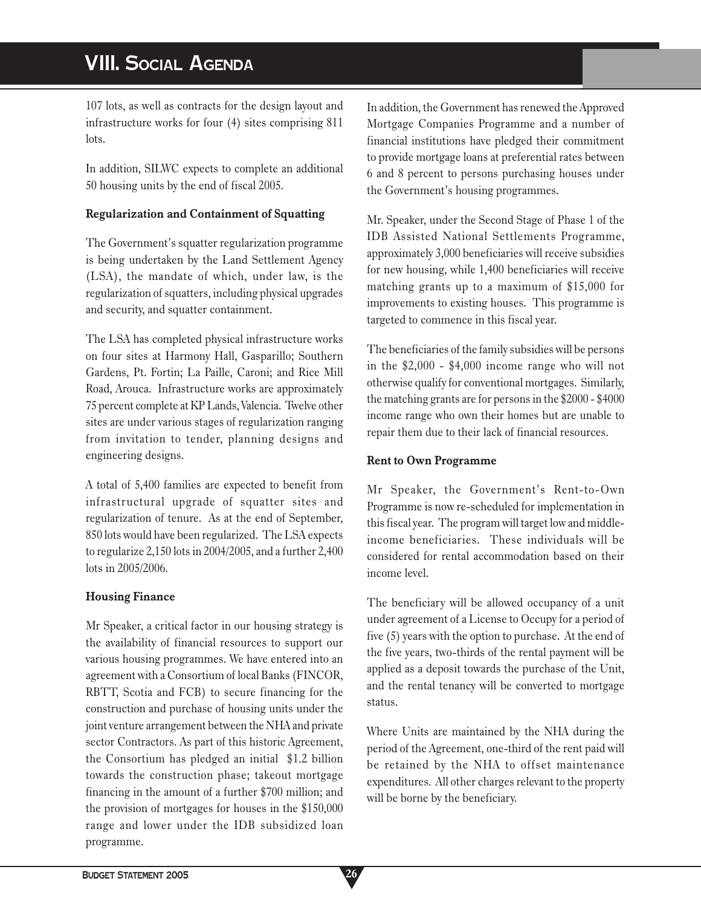# **VIII. SOCIAL AGENDA**

107 lots, as well as contracts for the design layout and infrastructure works for four (4) sites comprising 811 lots.

In addition, SILWC expects to complete an additional 50 housing units by the end of fiscal 2005.

### **Regularization and Containment of Squatting**

The Government's squatter regularization programme is being undertaken by the Land Settlement Agency (LSA), the mandate of which, under law, is the regularization of squatters, including physical upgrades and security, and squatter containment.

The LSA has completed physical infrastructure works on four sites at Harmony Hall, Gasparillo; Southern Gardens, Pt. Fortin; La Paille, Caroni; and Rice Mill Road, Arouca. Infrastructure works are approximately 75 percent complete at KP Lands, Valencia. Twelve other sites are under various stages of regularization ranging from invitation to tender, planning designs and engineering designs.

A total of 5,400 families are expected to benefit from infrastructural upgrade of squatter sites and regularization of tenure. As at the end of September, 850 lots would have been regularized. The LSA expects to regularize 2,150 lots in 2004/2005, and a further 2,400 lots in 2005/2006.

### **Housing Finance**

Mr Speaker, a critical factor in our housing strategy is the availability of financial resources to support our various housing programmes. We have entered into an agreement with a Consortium of local Banks (FINCOR, RBTT, Scotia and FCB) to secure financing for the construction and purchase of housing units under the joint venture arrangement between the NHA and private sector Contractors. As part of this historic Agreement, the Consortium has pledged an initial \$1.2 billion towards the construction phase; takeout mortgage financing in the amount of a further \$700 million; and the provision of mortgages for houses in the \$150,000 range and lower under the IDB subsidized loan programme.

In addition, the Government has renewed the Approved Mortgage Companies Programme and a number of financial institutions have pledged their commitment to provide mortgage loans at preferential rates between 6 and 8 percent to persons purchasing houses under the Government's housing programmes.

Mr. Speaker, under the Second Stage of Phase 1 of the IDB Assisted National Settlements Programme, approximately 3,000 beneficiaries will receive subsidies for new housing, while 1,400 beneficiaries will receive matching grants up to a maximum of \$15,000 for improvements to existing houses. This programme is targeted to commence in this fiscal year.

The beneficiaries of the family subsidies will be persons in the \$2,000 - \$4,000 income range who will not otherwise qualify for conventional mortgages. Similarly, the matching grants are for persons in the \$2000 - \$4000 income range who own their homes but are unable to repair them due to their lack of financial resources.

### **Rent to Own Programme**

Mr Speaker, the Government's Rent-to-Own Programme is now re-scheduled for implementation in this fiscal year. The program will target low and middleincome beneficiaries. These individuals will be considered for rental accommodation based on their income level.

The beneficiary will be allowed occupancy of a unit under agreement of a License to Occupy for a period of five (5) years with the option to purchase. At the end of the five years, two-thirds of the rental payment will be applied as a deposit towards the purchase of the Unit, and the rental tenancy will be converted to mortgage status.

Where Units are maintained by the NHA during the period of the Agreement, one-third of the rent paid will be retained by the NHA to offset maintenance expenditures. All other charges relevant to the property will be borne by the beneficiary.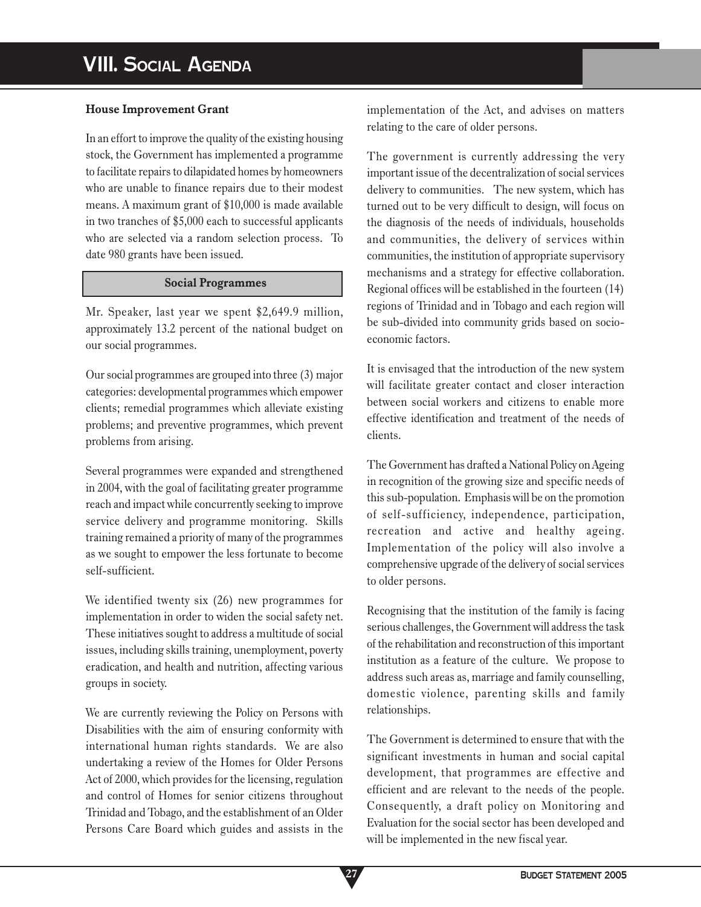## **House Improvement Grant**

In an effort to improve the quality of the existing housing stock, the Government has implemented a programme to facilitate repairs to dilapidated homes by homeowners who are unable to finance repairs due to their modest means. A maximum grant of \$10,000 is made available in two tranches of \$5,000 each to successful applicants who are selected via a random selection process. To date 980 grants have been issued.

#### **Social Programmes**

Mr. Speaker, last year we spent \$2,649.9 million, approximately 13.2 percent of the national budget on our social programmes.

Our social programmes are grouped into three (3) major categories: developmental programmes which empower clients; remedial programmes which alleviate existing problems; and preventive programmes, which prevent problems from arising.

Several programmes were expanded and strengthened in 2004, with the goal of facilitating greater programme reach and impact while concurrently seeking to improve service delivery and programme monitoring. Skills training remained a priority of many of the programmes as we sought to empower the less fortunate to become self-sufficient.

We identified twenty six (26) new programmes for implementation in order to widen the social safety net. These initiatives sought to address a multitude of social issues, including skills training, unemployment, poverty eradication, and health and nutrition, affecting various groups in society.

We are currently reviewing the Policy on Persons with Disabilities with the aim of ensuring conformity with international human rights standards. We are also undertaking a review of the Homes for Older Persons Act of 2000, which provides for the licensing, regulation and control of Homes for senior citizens throughout Trinidad and Tobago, and the establishment of an Older Persons Care Board which guides and assists in the

implementation of the Act, and advises on matters relating to the care of older persons.

The government is currently addressing the very important issue of the decentralization of social services delivery to communities. The new system, which has turned out to be very difficult to design, will focus on the diagnosis of the needs of individuals, households and communities, the delivery of services within communities, the institution of appropriate supervisory mechanisms and a strategy for effective collaboration. Regional offices will be established in the fourteen (14) regions of Trinidad and in Tobago and each region will be sub-divided into community grids based on socioeconomic factors.

It is envisaged that the introduction of the new system will facilitate greater contact and closer interaction between social workers and citizens to enable more effective identification and treatment of the needs of clients.

The Government has drafted a National Policy on Ageing in recognition of the growing size and specific needs of this sub-population. Emphasis will be on the promotion of self-sufficiency, independence, participation, recreation and active and healthy ageing. Implementation of the policy will also involve a comprehensive upgrade of the delivery of social services to older persons.

Recognising that the institution of the family is facing serious challenges, the Government will address the task of the rehabilitation and reconstruction of this important institution as a feature of the culture. We propose to address such areas as, marriage and family counselling, domestic violence, parenting skills and family relationships.

The Government is determined to ensure that with the significant investments in human and social capital development, that programmes are effective and efficient and are relevant to the needs of the people. Consequently, a draft policy on Monitoring and Evaluation for the social sector has been developed and will be implemented in the new fiscal year.

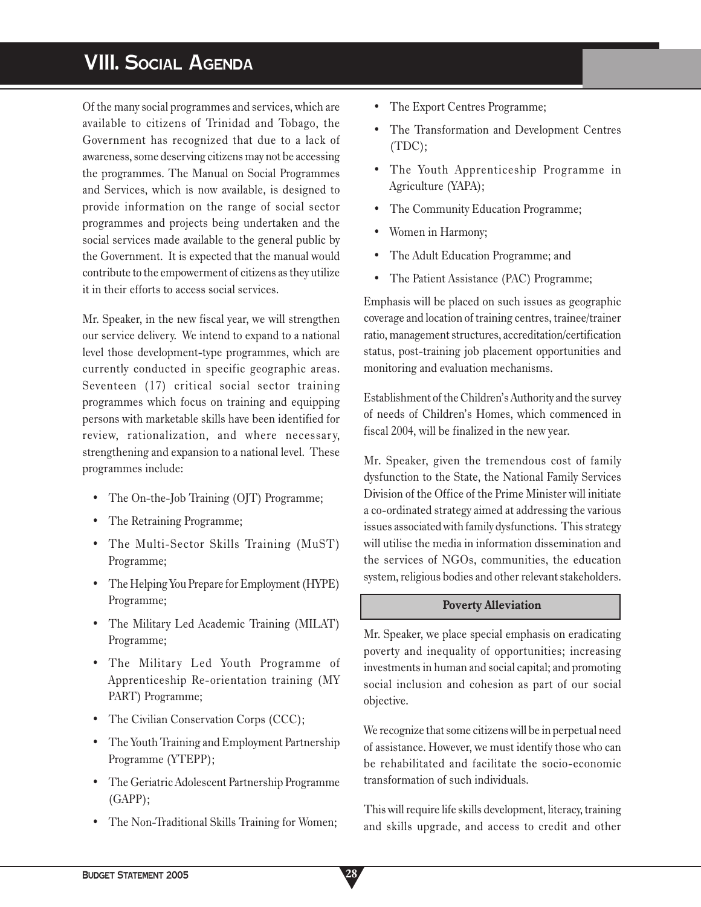# **VIII. SOCIAL AGENDA**

Of the many social programmes and services, which are available to citizens of Trinidad and Tobago, the Government has recognized that due to a lack of awareness, some deserving citizens may not be accessing the programmes. The Manual on Social Programmes and Services, which is now available, is designed to provide information on the range of social sector programmes and projects being undertaken and the social services made available to the general public by the Government. It is expected that the manual would contribute to the empowerment of citizens as they utilize it in their efforts to access social services.

Mr. Speaker, in the new fiscal year, we will strengthen our service delivery. We intend to expand to a national level those development-type programmes, which are currently conducted in specific geographic areas. Seventeen (17) critical social sector training programmes which focus on training and equipping persons with marketable skills have been identified for review, rationalization, and where necessary, strengthening and expansion to a national level. These programmes include:

- The On-the-Job Training (OJT) Programme;
- The Retraining Programme;
- The Multi-Sector Skills Training (MuST) Programme;
- The Helping You Prepare for Employment (HYPE) Programme;
- The Military Led Academic Training (MILAT) Programme;
- The Military Led Youth Programme of Apprenticeship Re-orientation training (MY PART) Programme;
- The Civilian Conservation Corps (CCC);
- The Youth Training and Employment Partnership Programme (YTEPP);
- The Geriatric Adolescent Partnership Programme (GAPP);
- The Non-Traditional Skills Training for Women;
- The Export Centres Programme;
- The Transformation and Development Centres (TDC);
- The Youth Apprenticeship Programme in Agriculture (YAPA);
- The Community Education Programme;
- Women in Harmony;
- The Adult Education Programme; and
- The Patient Assistance (PAC) Programme;

Emphasis will be placed on such issues as geographic coverage and location of training centres, trainee/trainer ratio, management structures, accreditation/certification status, post-training job placement opportunities and monitoring and evaluation mechanisms.

Establishment of the Children's Authority and the survey of needs of Children's Homes, which commenced in fiscal 2004, will be finalized in the new year.

Mr. Speaker, given the tremendous cost of family dysfunction to the State, the National Family Services Division of the Office of the Prime Minister will initiate a co-ordinated strategy aimed at addressing the various issues associated with family dysfunctions. This strategy will utilise the media in information dissemination and the services of NGOs, communities, the education system, religious bodies and other relevant stakeholders.

#### **Poverty Alleviation**

Mr. Speaker, we place special emphasis on eradicating poverty and inequality of opportunities; increasing investments in human and social capital; and promoting social inclusion and cohesion as part of our social objective.

We recognize that some citizens will be in perpetual need of assistance. However, we must identify those who can be rehabilitated and facilitate the socio-economic transformation of such individuals.

This will require life skills development, literacy, training and skills upgrade, and access to credit and other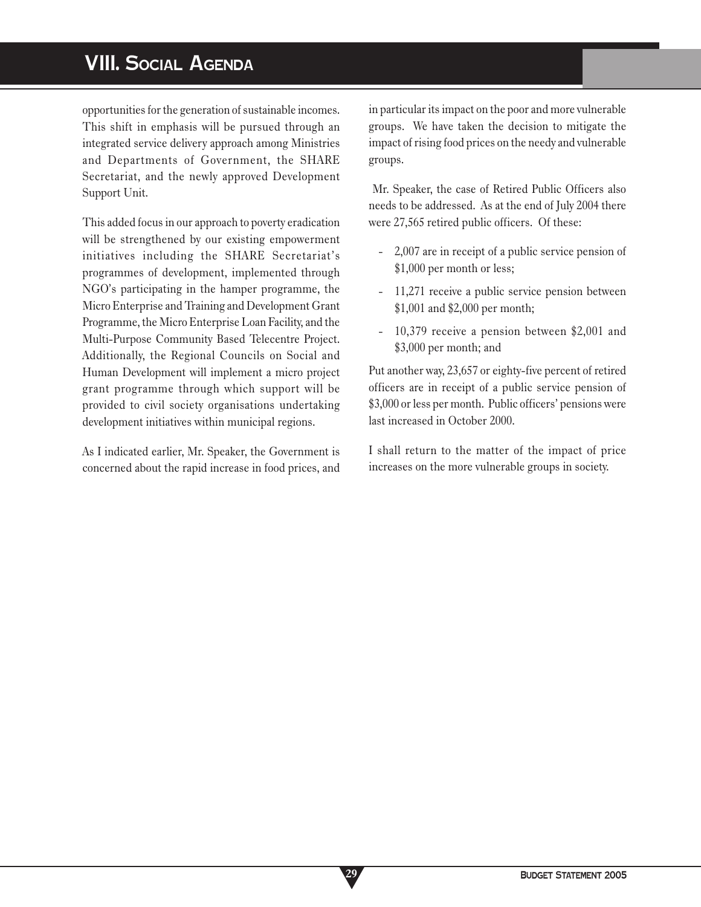# **VIII. SOCIAL AGENDA**

opportunities for the generation of sustainable incomes. This shift in emphasis will be pursued through an integrated service delivery approach among Ministries and Departments of Government, the SHARE Secretariat, and the newly approved Development Support Unit.

This added focus in our approach to poverty eradication will be strengthened by our existing empowerment initiatives including the SHARE Secretariat's programmes of development, implemented through NGO's participating in the hamper programme, the Micro Enterprise and Training and Development Grant Programme, the Micro Enterprise Loan Facility, and the Multi-Purpose Community Based Telecentre Project. Additionally, the Regional Councils on Social and Human Development will implement a micro project grant programme through which support will be provided to civil society organisations undertaking development initiatives within municipal regions.

As I indicated earlier, Mr. Speaker, the Government is concerned about the rapid increase in food prices, and

**29**

in particular its impact on the poor and more vulnerable groups. We have taken the decision to mitigate the impact of rising food prices on the needy and vulnerable groups.

 Mr. Speaker, the case of Retired Public Officers also needs to be addressed. As at the end of July 2004 there were 27,565 retired public officers. Of these:

- 2,007 are in receipt of a public service pension of \$1,000 per month or less;
- 11,271 receive a public service pension between \$1,001 and \$2,000 per month;
- 10,379 receive a pension between \$2,001 and \$3,000 per month; and

Put another way, 23,657 or eighty-five percent of retired officers are in receipt of a public service pension of \$3,000 or less per month. Public officers' pensions were last increased in October 2000.

I shall return to the matter of the impact of price increases on the more vulnerable groups in society.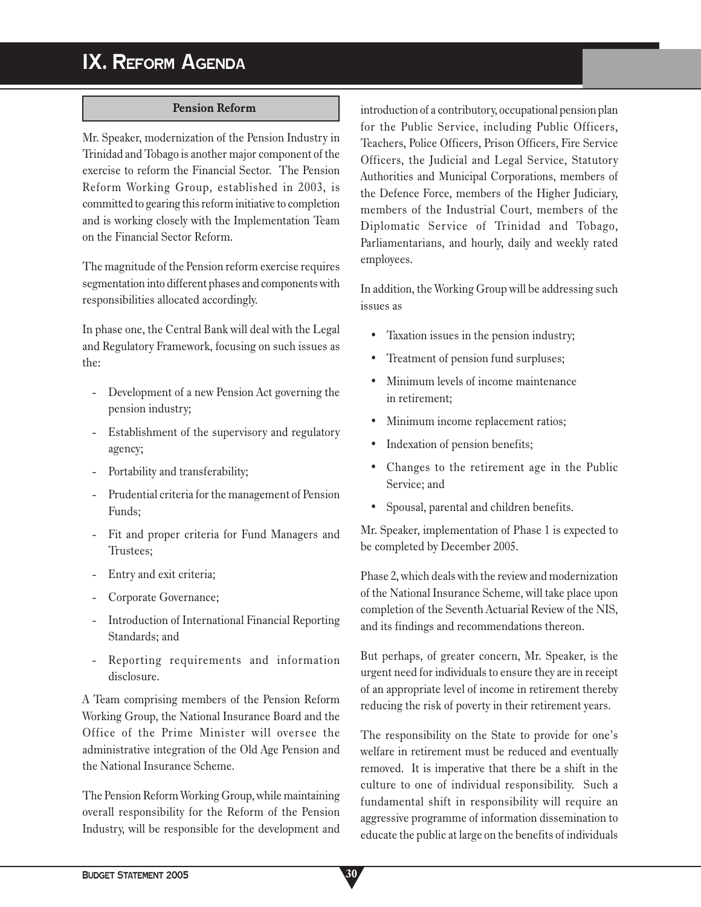# **IX. REFORM AGENDA**

### **Pension Reform**

Mr. Speaker, modernization of the Pension Industry in Trinidad and Tobago is another major component of the exercise to reform the Financial Sector. The Pension Reform Working Group, established in 2003, is committed to gearing this reform initiative to completion and is working closely with the Implementation Team on the Financial Sector Reform.

The magnitude of the Pension reform exercise requires segmentation into different phases and components with responsibilities allocated accordingly.

In phase one, the Central Bank will deal with the Legal and Regulatory Framework, focusing on such issues as the:

- Development of a new Pension Act governing the pension industry;
- Establishment of the supervisory and regulatory agency;
- Portability and transferability;
- Prudential criteria for the management of Pension Funds;
- Fit and proper criteria for Fund Managers and Trustees;
- Entry and exit criteria;
- Corporate Governance;
- Introduction of International Financial Reporting Standards; and
- Reporting requirements and information disclosure.

A Team comprising members of the Pension Reform Working Group, the National Insurance Board and the Office of the Prime Minister will oversee the administrative integration of the Old Age Pension and the National Insurance Scheme.

The Pension Reform Working Group, while maintaining overall responsibility for the Reform of the Pension Industry, will be responsible for the development and introduction of a contributory, occupational pension plan for the Public Service, including Public Officers, Teachers, Police Officers, Prison Officers, Fire Service Officers, the Judicial and Legal Service, Statutory Authorities and Municipal Corporations, members of the Defence Force, members of the Higher Judiciary, members of the Industrial Court, members of the Diplomatic Service of Trinidad and Tobago, Parliamentarians, and hourly, daily and weekly rated employees.

In addition, the Working Group will be addressing such issues as

- Taxation issues in the pension industry;
- Treatment of pension fund surpluses;
- Minimum levels of income maintenance in retirement;
- Minimum income replacement ratios;
- Indexation of pension benefits;
- Changes to the retirement age in the Public Service; and
- Spousal, parental and children benefits.

Mr. Speaker, implementation of Phase 1 is expected to be completed by December 2005.

Phase 2, which deals with the review and modernization of the National Insurance Scheme, will take place upon completion of the Seventh Actuarial Review of the NIS, and its findings and recommendations thereon.

But perhaps, of greater concern, Mr. Speaker, is the urgent need for individuals to ensure they are in receipt of an appropriate level of income in retirement thereby reducing the risk of poverty in their retirement years.

The responsibility on the State to provide for one's welfare in retirement must be reduced and eventually removed. It is imperative that there be a shift in the culture to one of individual responsibility. Such a fundamental shift in responsibility will require an aggressive programme of information dissemination to educate the public at large on the benefits of individuals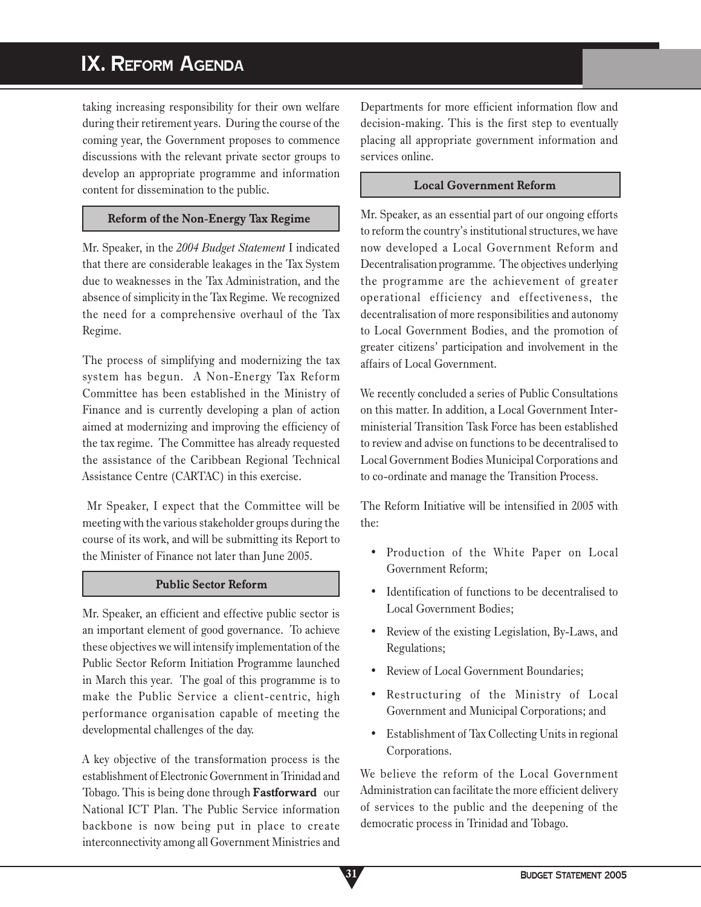# **IX. REFORM AGENDA**

taking increasing responsibility for their own welfare during their retirement years. During the course of the coming year, the Government proposes to commence discussions with the relevant private sector groups to develop an appropriate programme and information content for dissemination to the public.

## **Reform of the Non-Energy Tax Regime**

Mr. Speaker, in the *2004 Budget Statement* I indicated that there are considerable leakages in the Tax System due to weaknesses in the Tax Administration, and the absence of simplicity in the Tax Regime. We recognized the need for a comprehensive overhaul of the Tax Regime.

The process of simplifying and modernizing the tax system has begun. A Non-Energy Tax Reform Committee has been established in the Ministry of Finance and is currently developing a plan of action aimed at modernizing and improving the efficiency of the tax regime. The Committee has already requested the assistance of the Caribbean Regional Technical Assistance Centre (CARTAC) in this exercise.

 Mr Speaker, I expect that the Committee will be meeting with the various stakeholder groups during the course of its work, and will be submitting its Report to the Minister of Finance not later than June 2005.

### **Public Sector Reform**

Mr. Speaker, an efficient and effective public sector is an important element of good governance. To achieve these objectives we will intensify implementation of the Public Sector Reform Initiation Programme launched in March this year. The goal of this programme is to make the Public Service a client-centric, high performance organisation capable of meeting the developmental challenges of the day.

A key objective of the transformation process is the establishment of Electronic Government in Trinidad and Tobago. This is being done through **Fastforward** our National ICT Plan. The Public Service information backbone is now being put in place to create interconnectivity among all Government Ministries and

Departments for more efficient information flow and decision-making. This is the first step to eventually placing all appropriate government information and services online.

### **Local Government Reform**

Mr. Speaker, as an essential part of our ongoing efforts to reform the country's institutional structures, we have now developed a Local Government Reform and Decentralisation programme. The objectives underlying the programme are the achievement of greater operational efficiency and effectiveness, the decentralisation of more responsibilities and autonomy to Local Government Bodies, and the promotion of greater citizens' participation and involvement in the affairs of Local Government.

We recently concluded a series of Public Consultations on this matter. In addition, a Local Government Interministerial Transition Task Force has been established to review and advise on functions to be decentralised to Local Government Bodies Municipal Corporations and to co-ordinate and manage the Transition Process.

The Reform Initiative will be intensified in 2005 with the:

- Production of the White Paper on Local Government Reform;
- Identification of functions to be decentralised to Local Government Bodies;
- Review of the existing Legislation, By-Laws, and Regulations;
- Review of Local Government Boundaries:
- Restructuring of the Ministry of Local Government and Municipal Corporations; and
- Establishment of Tax Collecting Units in regional Corporations.

We believe the reform of the Local Government Administration can facilitate the more efficient delivery of services to the public and the deepening of the democratic process in Trinidad and Tobago.

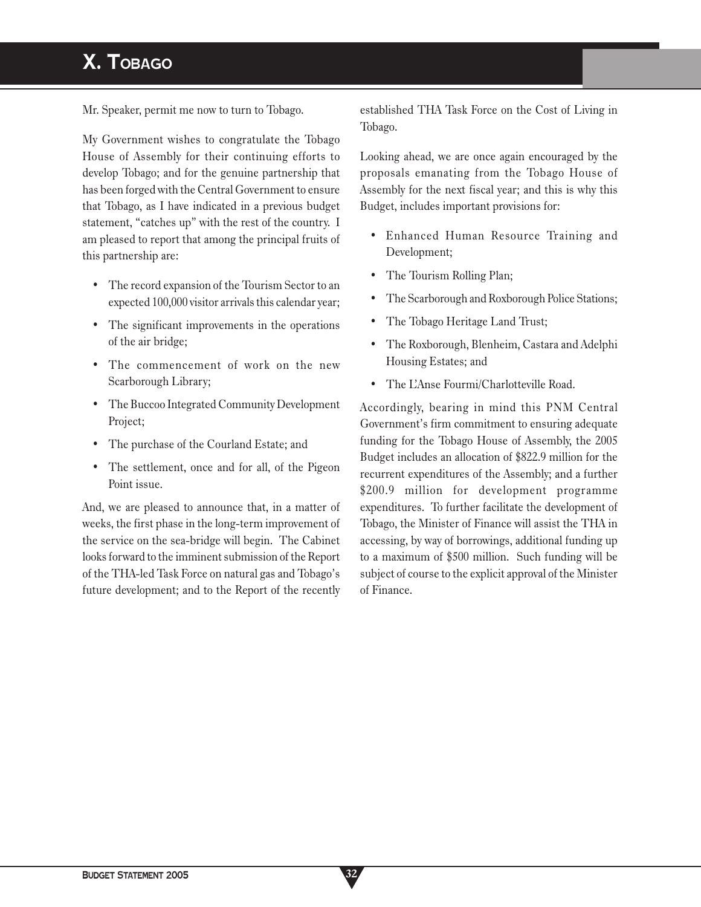# **X. TOBAGO**

Mr. Speaker, permit me now to turn to Tobago.

My Government wishes to congratulate the Tobago House of Assembly for their continuing efforts to develop Tobago; and for the genuine partnership that has been forged with the Central Government to ensure that Tobago, as I have indicated in a previous budget statement, "catches up" with the rest of the country. I am pleased to report that among the principal fruits of this partnership are:

- The record expansion of the Tourism Sector to an expected 100,000 visitor arrivals this calendar year;
- The significant improvements in the operations of the air bridge;
- The commencement of work on the new Scarborough Library;
- The Buccoo Integrated Community Development Project;
- The purchase of the Courland Estate; and
- The settlement, once and for all, of the Pigeon Point issue.

And, we are pleased to announce that, in a matter of weeks, the first phase in the long-term improvement of the service on the sea-bridge will begin. The Cabinet looks forward to the imminent submission of the Report of the THA-led Task Force on natural gas and Tobago's future development; and to the Report of the recently established THA Task Force on the Cost of Living in Tobago.

Looking ahead, we are once again encouraged by the proposals emanating from the Tobago House of Assembly for the next fiscal year; and this is why this Budget, includes important provisions for:

- Enhanced Human Resource Training and Development;
- The Tourism Rolling Plan;
- The Scarborough and Roxborough Police Stations;
- The Tobago Heritage Land Trust;
- The Roxborough, Blenheim, Castara and Adelphi Housing Estates; and
- The L'Anse Fourmi/Charlotteville Road.

Accordingly, bearing in mind this PNM Central Government's firm commitment to ensuring adequate funding for the Tobago House of Assembly, the 2005 Budget includes an allocation of \$822.9 million for the recurrent expenditures of the Assembly; and a further \$200.9 million for development programme expenditures. To further facilitate the development of Tobago, the Minister of Finance will assist the THA in accessing, by way of borrowings, additional funding up to a maximum of \$500 million. Such funding will be subject of course to the explicit approval of the Minister of Finance.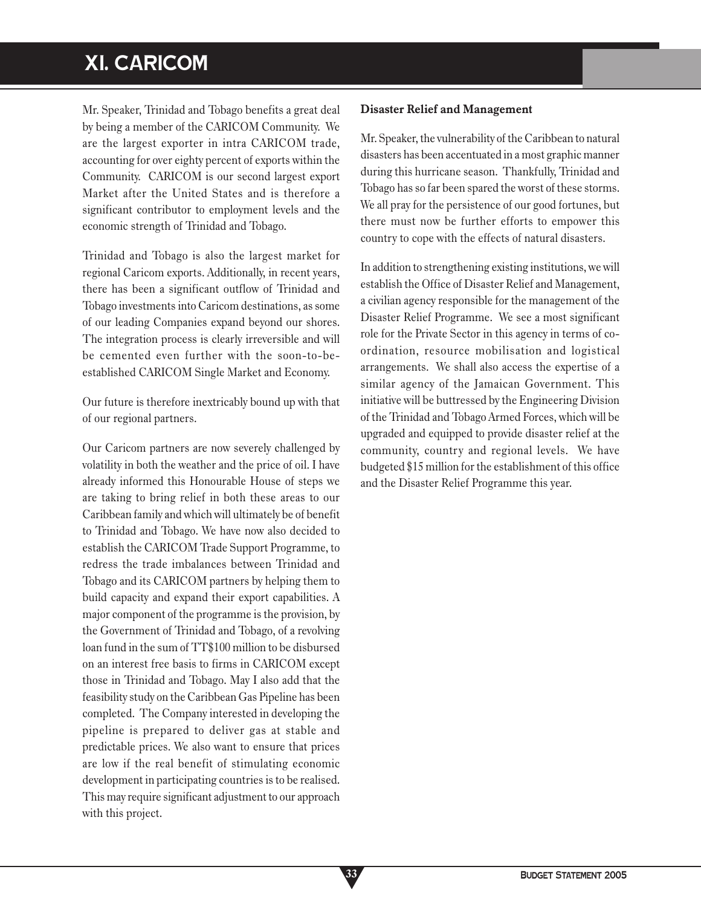# **XI. CARICOM**

Mr. Speaker, Trinidad and Tobago benefits a great deal by being a member of the CARICOM Community. We are the largest exporter in intra CARICOM trade, accounting for over eighty percent of exports within the Community. CARICOM is our second largest export Market after the United States and is therefore a significant contributor to employment levels and the economic strength of Trinidad and Tobago.

Trinidad and Tobago is also the largest market for regional Caricom exports. Additionally, in recent years, there has been a significant outflow of Trinidad and Tobago investments into Caricom destinations, as some of our leading Companies expand beyond our shores. The integration process is clearly irreversible and will be cemented even further with the soon-to-beestablished CARICOM Single Market and Economy.

Our future is therefore inextricably bound up with that of our regional partners.

Our Caricom partners are now severely challenged by volatility in both the weather and the price of oil. I have already informed this Honourable House of steps we are taking to bring relief in both these areas to our Caribbean family and which will ultimately be of benefit to Trinidad and Tobago. We have now also decided to establish the CARICOM Trade Support Programme, to redress the trade imbalances between Trinidad and Tobago and its CARICOM partners by helping them to build capacity and expand their export capabilities. A major component of the programme is the provision, by the Government of Trinidad and Tobago, of a revolving loan fund in the sum of TT\$100 million to be disbursed on an interest free basis to firms in CARICOM except those in Trinidad and Tobago. May I also add that the feasibility study on the Caribbean Gas Pipeline has been completed. The Company interested in developing the pipeline is prepared to deliver gas at stable and predictable prices. We also want to ensure that prices are low if the real benefit of stimulating economic development in participating countries is to be realised. This may require significant adjustment to our approach with this project.

**33**

### **Disaster Relief and Management**

Mr. Speaker, the vulnerability of the Caribbean to natural disasters has been accentuated in a most graphic manner during this hurricane season. Thankfully, Trinidad and Tobago has so far been spared the worst of these storms. We all pray for the persistence of our good fortunes, but there must now be further efforts to empower this country to cope with the effects of natural disasters.

In addition to strengthening existing institutions, we will establish the Office of Disaster Relief and Management, a civilian agency responsible for the management of the Disaster Relief Programme. We see a most significant role for the Private Sector in this agency in terms of coordination, resource mobilisation and logistical arrangements. We shall also access the expertise of a similar agency of the Jamaican Government. This initiative will be buttressed by the Engineering Division of the Trinidad and Tobago Armed Forces, which will be upgraded and equipped to provide disaster relief at the community, country and regional levels.We have budgeted \$15 million for the establishment of this office and the Disaster Relief Programme this year.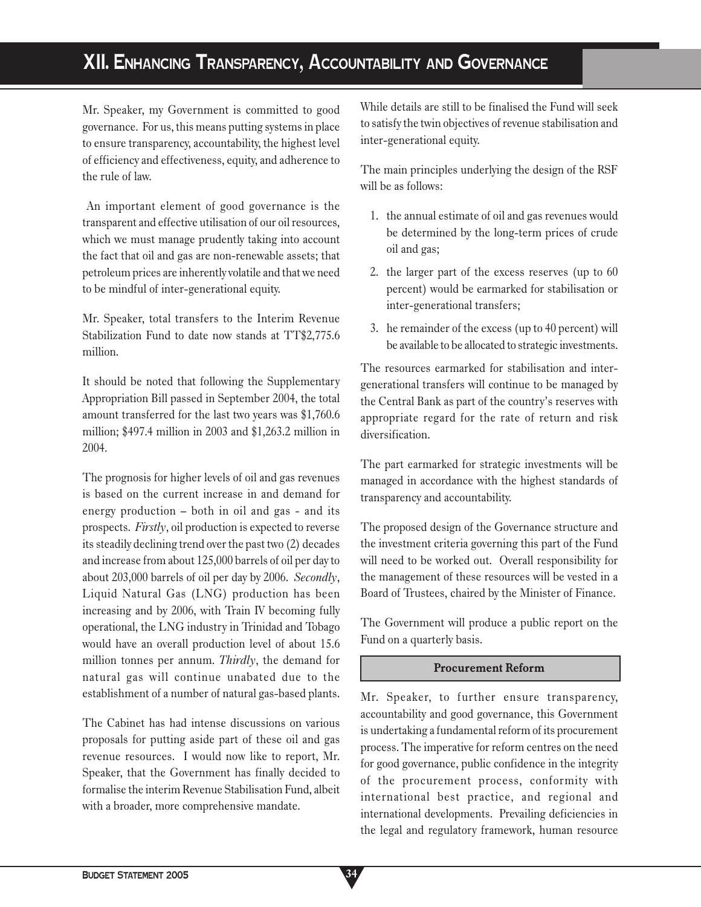# **XII. ENHANCING TRANSPARENCY, ACCOUNTABILITY AND GOVERNANCE**

Mr. Speaker, my Government is committed to good governance. For us, this means putting systems in place to ensure transparency, accountability, the highest level of efficiency and effectiveness, equity, and adherence to the rule of law.

 An important element of good governance is the transparent and effective utilisation of our oil resources, which we must manage prudently taking into account the fact that oil and gas are non-renewable assets; that petroleum prices are inherently volatile and that we need to be mindful of inter-generational equity.

Mr. Speaker, total transfers to the Interim Revenue Stabilization Fund to date now stands at TT\$2,775.6 million.

It should be noted that following the Supplementary Appropriation Bill passed in September 2004, the total amount transferred for the last two years was \$1,760.6 million; \$497.4 million in 2003 and \$1,263.2 million in 2004.

The prognosis for higher levels of oil and gas revenues is based on the current increase in and demand for energy production – both in oil and gas - and its prospects. *Firstly*, oil production is expected to reverse its steadily declining trend over the past two (2) decades and increase from about 125,000 barrels of oil per day to about 203,000 barrels of oil per day by 2006. *Secondly*, Liquid Natural Gas (LNG) production has been increasing and by 2006, with Train IV becoming fully operational, the LNG industry in Trinidad and Tobago would have an overall production level of about 15.6 million tonnes per annum. *Thirdly*, the demand for natural gas will continue unabated due to the establishment of a number of natural gas-based plants.

The Cabinet has had intense discussions on various proposals for putting aside part of these oil and gas revenue resources. I would now like to report, Mr. Speaker, that the Government has finally decided to formalise the interim Revenue Stabilisation Fund, albeit with a broader, more comprehensive mandate.

While details are still to be finalised the Fund will seek to satisfy the twin objectives of revenue stabilisation and inter-generational equity.

The main principles underlying the design of the RSF will be as follows:

- 1. the annual estimate of oil and gas revenues would be determined by the long-term prices of crude oil and gas;
- 2. the larger part of the excess reserves (up to 60 percent) would be earmarked for stabilisation or inter-generational transfers;
- 3. he remainder of the excess (up to 40 percent) will be available to be allocated to strategic investments.

The resources earmarked for stabilisation and intergenerational transfers will continue to be managed by the Central Bank as part of the country's reserves with appropriate regard for the rate of return and risk diversification.

The part earmarked for strategic investments will be managed in accordance with the highest standards of transparency and accountability.

The proposed design of the Governance structure and the investment criteria governing this part of the Fund will need to be worked out. Overall responsibility for the management of these resources will be vested in a Board of Trustees, chaired by the Minister of Finance.

The Government will produce a public report on the Fund on a quarterly basis.

### **Procurement Reform**

Mr. Speaker, to further ensure transparency, accountability and good governance, this Government is undertaking a fundamental reform of its procurement process. The imperative for reform centres on the need for good governance, public confidence in the integrity of the procurement process, conformity with international best practice, and regional and international developments. Prevailing deficiencies in the legal and regulatory framework, human resource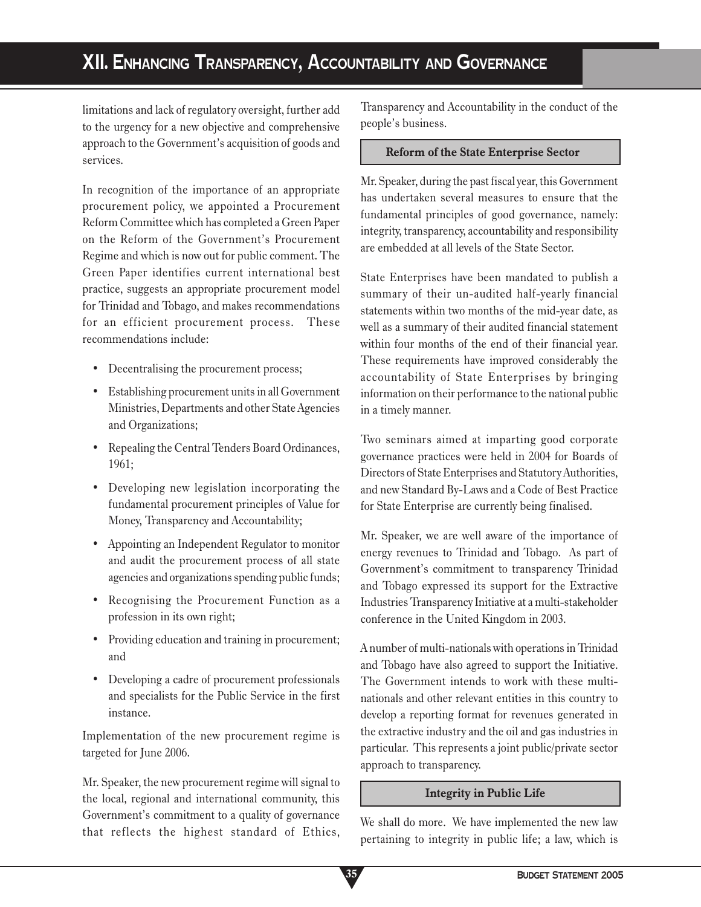# **XII. ENHANCING TRANSPARENCY, ACCOUNTABILITY AND GOVERNANCE**

limitations and lack of regulatory oversight, further add to the urgency for a new objective and comprehensive approach to the Government's acquisition of goods and services.

In recognition of the importance of an appropriate procurement policy, we appointed a Procurement Reform Committee which has completed a Green Paper on the Reform of the Government's Procurement Regime and which is now out for public comment. The Green Paper identifies current international best practice, suggests an appropriate procurement model for Trinidad and Tobago, and makes recommendations for an efficient procurement process. These recommendations include:

- Decentralising the procurement process;
- Establishing procurement units in all Government Ministries, Departments and other State Agencies and Organizations;
- Repealing the Central Tenders Board Ordinances, 1961;
- Developing new legislation incorporating the fundamental procurement principles of Value for Money, Transparency and Accountability;
- Appointing an Independent Regulator to monitor and audit the procurement process of all state agencies and organizations spending public funds;
- Recognising the Procurement Function as a profession in its own right;
- Providing education and training in procurement; and
- Developing a cadre of procurement professionals and specialists for the Public Service in the first instance.

Implementation of the new procurement regime is targeted for June 2006.

Mr. Speaker, the new procurement regime will signal to the local, regional and international community, this Government's commitment to a quality of governance that reflects the highest standard of Ethics, Transparency and Accountability in the conduct of the people's business.

#### **Reform of the State Enterprise Sector**

Mr. Speaker, during the past fiscal year, this Government has undertaken several measures to ensure that the fundamental principles of good governance, namely: integrity, transparency, accountability and responsibility are embedded at all levels of the State Sector.

State Enterprises have been mandated to publish a summary of their un-audited half-yearly financial statements within two months of the mid-year date, as well as a summary of their audited financial statement within four months of the end of their financial year. These requirements have improved considerably the accountability of State Enterprises by bringing information on their performance to the national public in a timely manner.

Two seminars aimed at imparting good corporate governance practices were held in 2004 for Boards of Directors of State Enterprises and Statutory Authorities, and new Standard By-Laws and a Code of Best Practice for State Enterprise are currently being finalised.

Mr. Speaker, we are well aware of the importance of energy revenues to Trinidad and Tobago. As part of Government's commitment to transparency Trinidad and Tobago expressed its support for the Extractive Industries Transparency Initiative at a multi-stakeholder conference in the United Kingdom in 2003.

A number of multi-nationals with operations in Trinidad and Tobago have also agreed to support the Initiative. The Government intends to work with these multinationals and other relevant entities in this country to develop a reporting format for revenues generated in the extractive industry and the oil and gas industries in particular. This represents a joint public/private sector approach to transparency.

### **Integrity in Public Life**

We shall do more. We have implemented the new law pertaining to integrity in public life; a law, which is

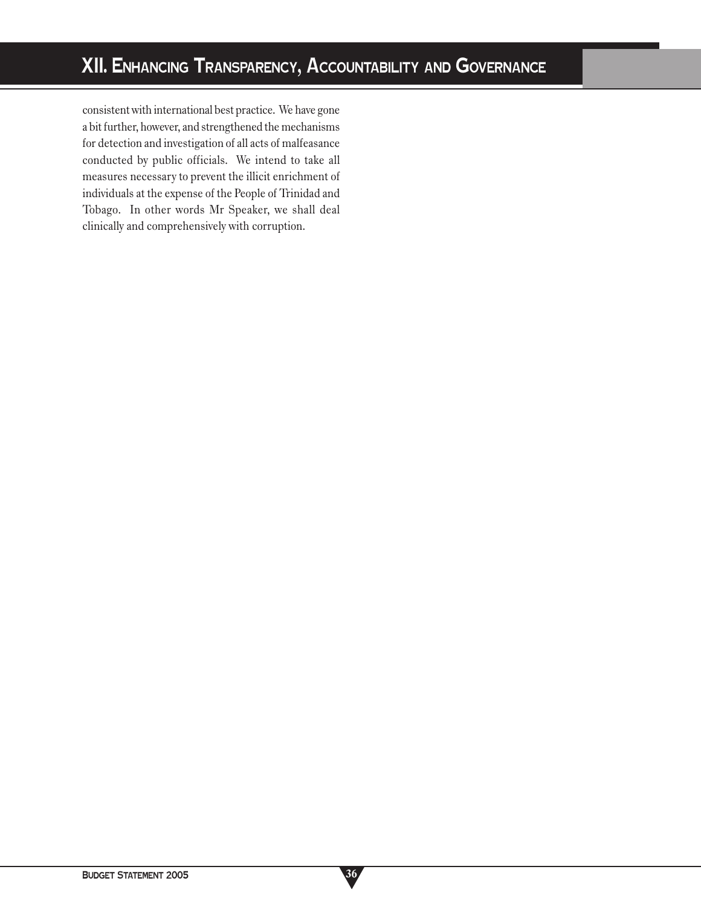consistent with international best practice. We have gone a bit further, however, and strengthened the mechanisms for detection and investigation of all acts of malfeasance conducted by public officials. We intend to take all measures necessary to prevent the illicit enrichment of individuals at the expense of the People of Trinidad and Tobago. In other words Mr Speaker, we shall deal clinically and comprehensively with corruption.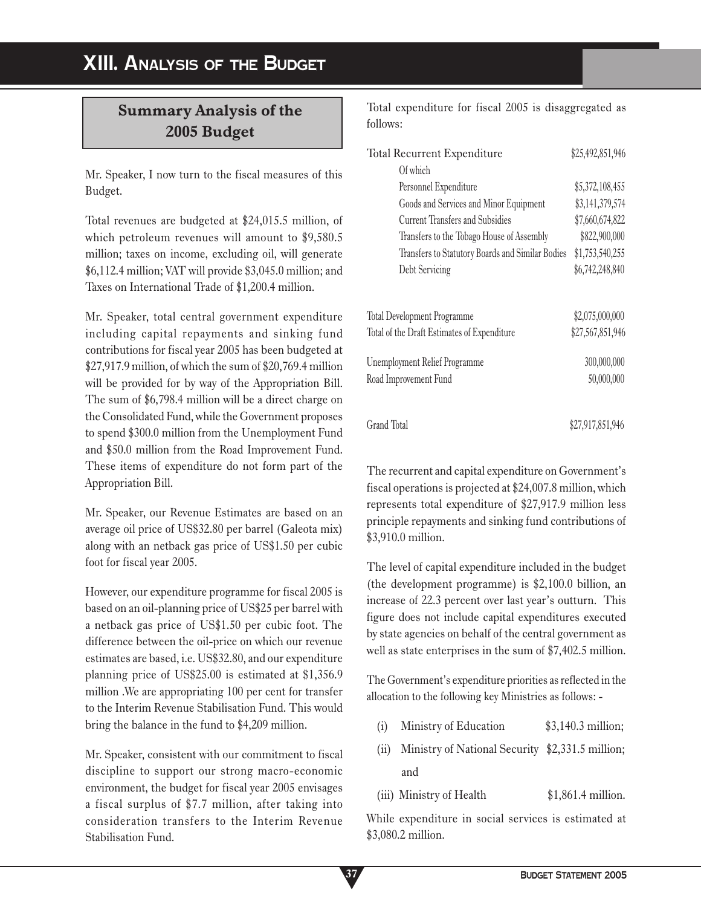# **Summary Analysis of the 2005 Budget**

Mr. Speaker, I now turn to the fiscal measures of this Budget.

Total revenues are budgeted at \$24,015.5 million, of which petroleum revenues will amount to \$9,580.5 million; taxes on income, excluding oil, will generate \$6,112.4 million; VAT will provide \$3,045.0 million; and Taxes on International Trade of \$1,200.4 million.

Mr. Speaker, total central government expenditure including capital repayments and sinking fund contributions for fiscal year 2005 has been budgeted at \$27,917.9 million, of which the sum of \$20,769.4 million will be provided for by way of the Appropriation Bill. The sum of \$6,798.4 million will be a direct charge on the Consolidated Fund, while the Government proposes to spend \$300.0 million from the Unemployment Fund and \$50.0 million from the Road Improvement Fund. These items of expenditure do not form part of the Appropriation Bill.

Mr. Speaker, our Revenue Estimates are based on an average oil price of US\$32.80 per barrel (Galeota mix) along with an netback gas price of US\$1.50 per cubic foot for fiscal year 2005.

However, our expenditure programme for fiscal 2005 is based on an oil-planning price of US\$25 per barrel with a netback gas price of US\$1.50 per cubic foot. The difference between the oil-price on which our revenue estimates are based, i.e. US\$32.80, and our expenditure planning price of US\$25.00 is estimated at \$1,356.9 million .We are appropriating 100 per cent for transfer to the Interim Revenue Stabilisation Fund. This would bring the balance in the fund to \$4,209 million.

Mr. Speaker, consistent with our commitment to fiscal discipline to support our strong macro-economic environment, the budget for fiscal year 2005 envisages a fiscal surplus of \$7.7 million, after taking into consideration transfers to the Interim Revenue Stabilisation Fund.

Total expenditure for fiscal 2005 is disaggregated as follows:

| Total Recurrent Expenditure                      | \$25,492,851,946 |  |
|--------------------------------------------------|------------------|--|
| Of which                                         |                  |  |
| Personnel Expenditure                            | \$5,372,108,455  |  |
| Goods and Services and Minor Equipment           | \$3,141,379,574  |  |
| <b>Current Transfers and Subsidies</b>           | \$7,660,674,822  |  |
| Transfers to the Tobago House of Assembly        | \$822,900,000    |  |
| Transfers to Statutory Boards and Similar Bodies | \$1,753,540,255  |  |
| Debt Servicing                                   | \$6,742,248,840  |  |
| <b>Total Development Programme</b>               | \$2,075,000,000  |  |
| Total of the Draft Estimates of Expenditure      | \$27,567,851,946 |  |
| <b>Unemployment Relief Programme</b>             | 300,000,000      |  |
| Road Improvement Fund                            | 50,000,000       |  |
| Grand Total                                      | \$27,917,851,946 |  |

The recurrent and capital expenditure on Government's fiscal operations is projected at \$24,007.8 million, which represents total expenditure of \$27,917.9 million less principle repayments and sinking fund contributions of \$3,910.0 million.

The level of capital expenditure included in the budget (the development programme) is \$2,100.0 billion, an increase of 22.3 percent over last year's outturn. This figure does not include capital expenditures executed by state agencies on behalf of the central government as well as state enterprises in the sum of \$7,402.5 million.

The Government's expenditure priorities as reflected in the allocation to the following key Ministries as follows: -

- (i) Ministry of Education \$3,140.3 million;
- (ii) Ministry of National Security \$2,331.5 million; and
- (iii) Ministry of Health \$1,861.4 million.

While expenditure in social services is estimated at \$3,080.2 million.

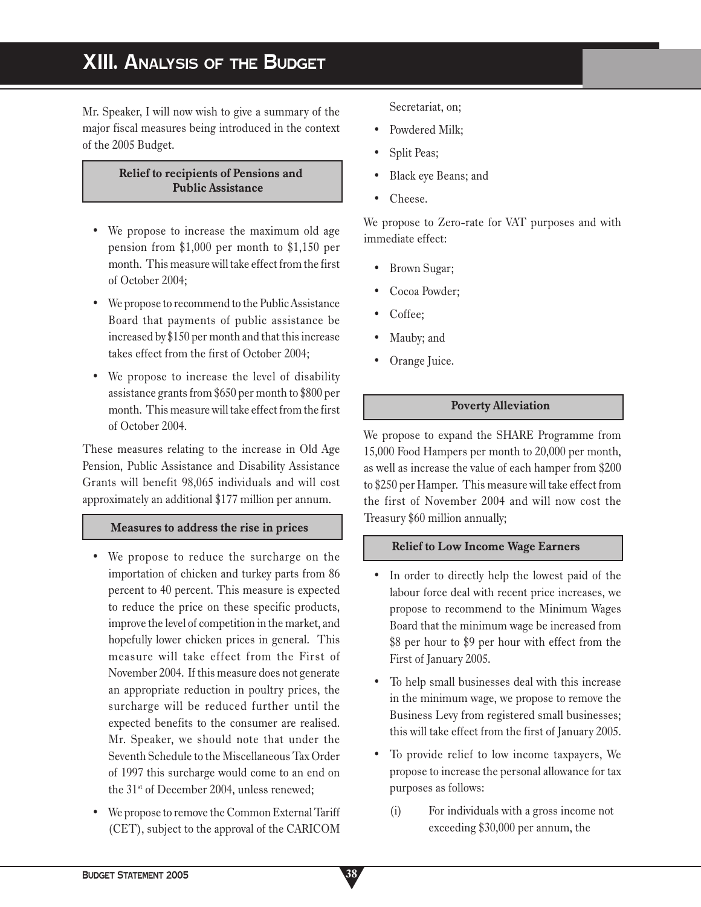# **XIII. ANALYSIS OF THE BUDGET**

Mr. Speaker, I will now wish to give a summary of the major fiscal measures being introduced in the context of the 2005 Budget.

### **Relief to recipients of Pensions and Public Assistance**

- We propose to increase the maximum old age pension from \$1,000 per month to \$1,150 per month. This measure will take effect from the first of October 2004;
- We propose to recommend to the Public Assistance Board that payments of public assistance be increased by \$150 per month and that this increase takes effect from the first of October 2004;
- We propose to increase the level of disability assistance grants from \$650 per month to \$800 per month. This measure will take effect from the first of October 2004.

These measures relating to the increase in Old Age Pension, Public Assistance and Disability Assistance Grants will benefit 98,065 individuals and will cost approximately an additional \$177 million per annum.

### **Measures to address the rise in prices**

- We propose to reduce the surcharge on the importation of chicken and turkey parts from 86 percent to 40 percent. This measure is expected to reduce the price on these specific products, improve the level of competition in the market, and hopefully lower chicken prices in general. This measure will take effect from the First of November 2004. If this measure does not generate an appropriate reduction in poultry prices, the surcharge will be reduced further until the expected benefits to the consumer are realised. Mr. Speaker, we should note that under the Seventh Schedule to the Miscellaneous Tax Order of 1997 this surcharge would come to an end on the 31st of December 2004, unless renewed;
- We propose to remove the Common External Tariff (CET), subject to the approval of the CARICOM

Secretariat, on;

- Powdered Milk;
- Split Peas;
- Black eye Beans; and
- Cheese.

We propose to Zero-rate for VAT purposes and with immediate effect:

- Brown Sugar;
- Cocoa Powder;
- Coffee;
- Mauby; and
- Orange Juice.

### **Poverty Alleviation**

We propose to expand the SHARE Programme from 15,000 Food Hampers per month to 20,000 per month, as well as increase the value of each hamper from \$200 to \$250 per Hamper. This measure will take effect from the first of November 2004 and will now cost the Treasury \$60 million annually;

#### **Relief to Low Income Wage Earners**

- In order to directly help the lowest paid of the labour force deal with recent price increases, we propose to recommend to the Minimum Wages Board that the minimum wage be increased from \$8 per hour to \$9 per hour with effect from the First of January 2005.
- To help small businesses deal with this increase in the minimum wage, we propose to remove the Business Levy from registered small businesses; this will take effect from the first of January 2005.
- To provide relief to low income taxpayers, We propose to increase the personal allowance for tax purposes as follows:
	- (i) For individuals with a gross income not exceeding \$30,000 per annum, the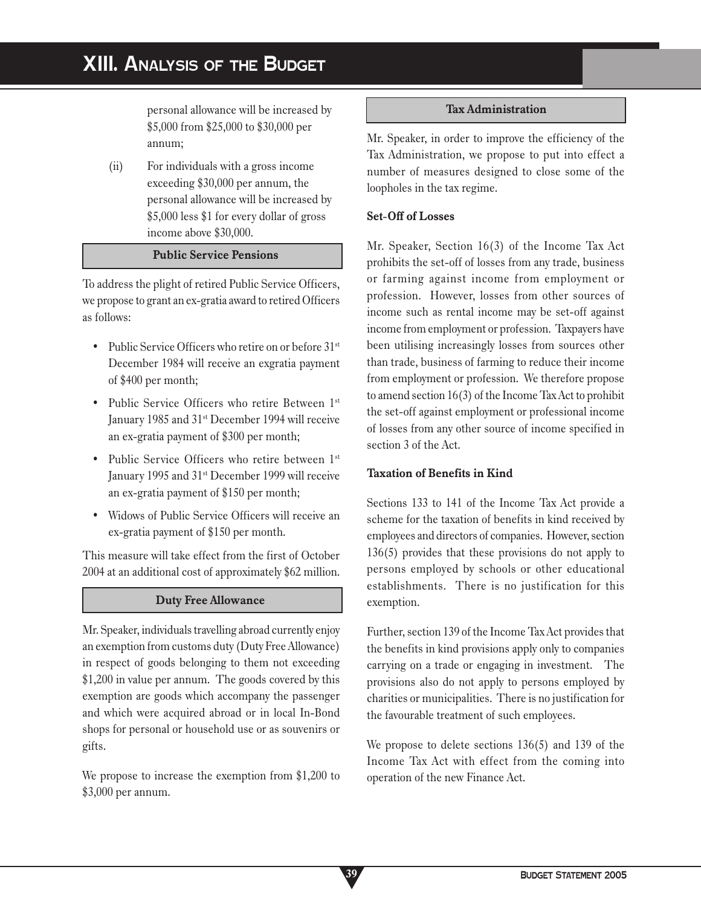# **XIII. ANALYSIS OF THE BUDGET**

personal allowance will be increased by \$5,000 from \$25,000 to \$30,000 per annum;

(ii) For individuals with a gross income exceeding \$30,000 per annum, the personal allowance will be increased by \$5,000 less \$1 for every dollar of gross income above \$30,000.

## **Public Service Pensions**

To address the plight of retired Public Service Officers, we propose to grant an ex-gratia award to retired Officers as follows:

- Public Service Officers who retire on or before 31<sup>st</sup> December 1984 will receive an exgratia payment of \$400 per month;
- Public Service Officers who retire Between 1st January 1985 and 31<sup>st</sup> December 1994 will receive an ex-gratia payment of \$300 per month;
- Public Service Officers who retire between 1st January 1995 and 31st December 1999 will receive an ex-gratia payment of \$150 per month;
- Widows of Public Service Officers will receive an ex-gratia payment of \$150 per month.

This measure will take effect from the first of October 2004 at an additional cost of approximately \$62 million.

### **Duty Free Allowance**

Mr. Speaker, individuals travelling abroad currently enjoy an exemption from customs duty (Duty Free Allowance) in respect of goods belonging to them not exceeding \$1,200 in value per annum. The goods covered by this exemption are goods which accompany the passenger and which were acquired abroad or in local In-Bond shops for personal or household use or as souvenirs or gifts.

We propose to increase the exemption from \$1,200 to \$3,000 per annum.

**39**

#### **Tax Administration**

Mr. Speaker, in order to improve the efficiency of the Tax Administration, we propose to put into effect a number of measures designed to close some of the loopholes in the tax regime.

### **Set-Off of Losses**

Mr. Speaker, Section 16(3) of the Income Tax Act prohibits the set-off of losses from any trade, business or farming against income from employment or profession. However, losses from other sources of income such as rental income may be set-off against income from employment or profession. Taxpayers have been utilising increasingly losses from sources other than trade, business of farming to reduce their income from employment or profession. We therefore propose to amend section 16(3) of the Income Tax Act to prohibit the set-off against employment or professional income of losses from any other source of income specified in section 3 of the Act.

### **Taxation of Benefits in Kind**

Sections 133 to 141 of the Income Tax Act provide a scheme for the taxation of benefits in kind received by employees and directors of companies. However, section 136(5) provides that these provisions do not apply to persons employed by schools or other educational establishments. There is no justification for this exemption.

Further, section 139 of the Income Tax Act provides that the benefits in kind provisions apply only to companies carrying on a trade or engaging in investment. The provisions also do not apply to persons employed by charities or municipalities. There is no justification for the favourable treatment of such employees.

We propose to delete sections 136(5) and 139 of the Income Tax Act with effect from the coming into operation of the new Finance Act.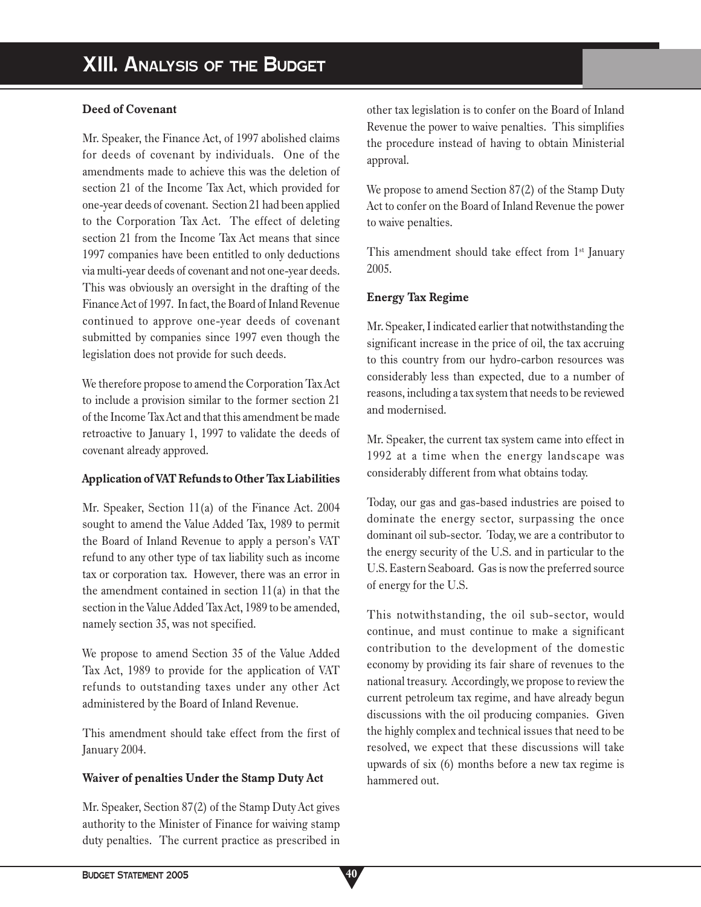### **Deed of Covenant**

Mr. Speaker, the Finance Act, of 1997 abolished claims for deeds of covenant by individuals. One of the amendments made to achieve this was the deletion of section 21 of the Income Tax Act, which provided for one-year deeds of covenant. Section 21 had been applied to the Corporation Tax Act. The effect of deleting section 21 from the Income Tax Act means that since 1997 companies have been entitled to only deductions via multi-year deeds of covenant and not one-year deeds. This was obviously an oversight in the drafting of the Finance Act of 1997. In fact, the Board of Inland Revenue continued to approve one-year deeds of covenant submitted by companies since 1997 even though the legislation does not provide for such deeds.

We therefore propose to amend the Corporation Tax Act to include a provision similar to the former section 21 of the Income Tax Act and that this amendment be made retroactive to January 1, 1997 to validate the deeds of covenant already approved.

# **Application of VAT Refunds to Other Tax Liabilities**

Mr. Speaker, Section 11(a) of the Finance Act. 2004 sought to amend the Value Added Tax, 1989 to permit the Board of Inland Revenue to apply a person's VAT refund to any other type of tax liability such as income tax or corporation tax. However, there was an error in the amendment contained in section  $11(a)$  in that the section in the Value Added Tax Act, 1989 to be amended, namely section 35, was not specified.

We propose to amend Section 35 of the Value Added Tax Act, 1989 to provide for the application of VAT refunds to outstanding taxes under any other Act administered by the Board of Inland Revenue.

This amendment should take effect from the first of January 2004.

# **Waiver of penalties Under the Stamp Duty Act**

Mr. Speaker, Section 87(2) of the Stamp Duty Act gives authority to the Minister of Finance for waiving stamp duty penalties. The current practice as prescribed in other tax legislation is to confer on the Board of Inland Revenue the power to waive penalties. This simplifies the procedure instead of having to obtain Ministerial approval.

We propose to amend Section 87(2) of the Stamp Duty Act to confer on the Board of Inland Revenue the power to waive penalties.

This amendment should take effect from  $1<sup>st</sup>$  January 2005.

## **Energy Tax Regime**

Mr. Speaker, I indicated earlier that notwithstanding the significant increase in the price of oil, the tax accruing to this country from our hydro-carbon resources was considerably less than expected, due to a number of reasons, including a tax system that needs to be reviewed and modernised.

Mr. Speaker, the current tax system came into effect in 1992 at a time when the energy landscape was considerably different from what obtains today.

Today, our gas and gas-based industries are poised to dominate the energy sector, surpassing the once dominant oil sub-sector. Today, we are a contributor to the energy security of the U.S. and in particular to the U.S. Eastern Seaboard. Gas is now the preferred source of energy for the U.S.

This notwithstanding, the oil sub-sector, would continue, and must continue to make a significant contribution to the development of the domestic economy by providing its fair share of revenues to the national treasury. Accordingly, we propose to review the current petroleum tax regime, and have already begun discussions with the oil producing companies. Given the highly complex and technical issues that need to be resolved, we expect that these discussions will take upwards of six (6) months before a new tax regime is hammered out.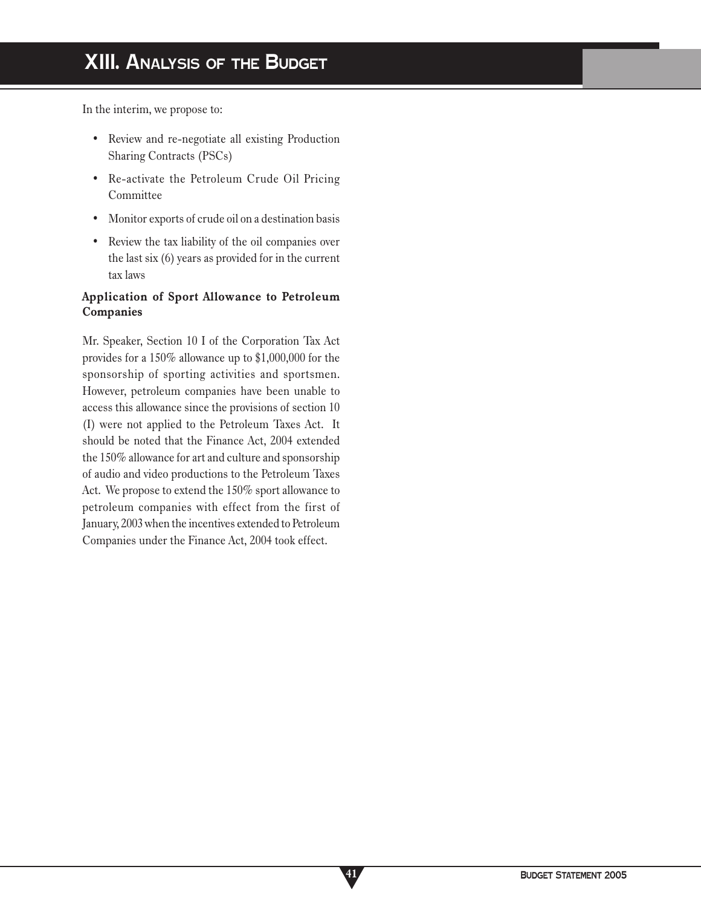In the interim, we propose to:

- Review and re-negotiate all existing Production Sharing Contracts (PSCs)
- Re-activate the Petroleum Crude Oil Pricing Committee
- Monitor exports of crude oil on a destination basis
- Review the tax liability of the oil companies over the last six (6) years as provided for in the current tax laws

# **Application of Sport Allowance to Petroleum Companies**

Mr. Speaker, Section 10 I of the Corporation Tax Act provides for a 150% allowance up to \$1,000,000 for the sponsorship of sporting activities and sportsmen. However, petroleum companies have been unable to access this allowance since the provisions of section 10 (I) were not applied to the Petroleum Taxes Act. It should be noted that the Finance Act, 2004 extended the 150% allowance for art and culture and sponsorship of audio and video productions to the Petroleum Taxes Act. We propose to extend the 150% sport allowance to petroleum companies with effect from the first of January, 2003 when the incentives extended to Petroleum Companies under the Finance Act, 2004 took effect.

**41**